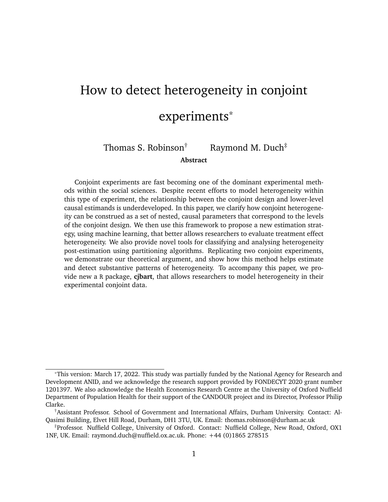# <span id="page-0-0"></span>How to detect heterogeneity in conjoint experiments\*

Thomas S. Robinson<sup>†</sup> Raymond M. Duch<sup>‡</sup>

**Abstract**

Conjoint experiments are fast becoming one of the dominant experimental methods within the social sciences. Despite recent efforts to model heterogeneity within this type of experiment, the relationship between the conjoint design and lower-level causal estimands is underdeveloped. In this paper, we clarify how conjoint heterogeneity can be construed as a set of nested, causal parameters that correspond to the levels of the conjoint design. We then use this framework to propose a new estimation strategy, using machine learning, that better allows researchers to evaluate treatment effect heterogeneity. We also provide novel tools for classifying and analysing heterogeneity post-estimation using partitioning algorithms. Replicating two conjoint experiments, we demonstrate our theoretical argument, and show how this method helps estimate and detect substantive patterns of heterogeneity. To accompany this paper, we provide new a R package, **cjbart**, that allows researchers to model heterogeneity in their experimental conjoint data.

<sup>\*</sup>This version: March 17, 2022. This study was partially funded by the National Agency for Research and Development ANID, and we acknowledge the research support provided by FONDECYT 2020 grant number 1201397. We also acknowledge the Health Economics Research Centre at the University of Oxford Nuffield Department of Population Health for their support of the CANDOUR project and its Director, Professor Philip Clarke.

<sup>†</sup>Assistant Professor. School of Government and International Affairs, Durham University. Contact: Al-Qasimi Building, Elvet Hill Road, Durham, DH1 3TU, UK. Email: thomas.robinson@durham.ac.uk

<sup>‡</sup>Professor. Nuffield College, University of Oxford. Contact: Nuffield College, New Road, Oxford, OX1 1NF, UK. Email: raymond.duch@nuffield.ox.ac.uk. Phone: +44 (0)1865 278515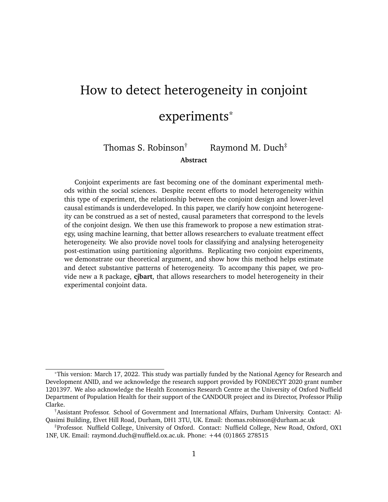Conjoint experiments are an increasingly popular method of experimental research in discrete-choice contexts. In the last decade, the number of papers per year that mention "conjoint experiments" has risen sixfold, from 110 articles published in 2010 to 600 pub-lished in 2020.<sup>[1](#page-0-0)</sup> Conjoint designs offer researchers an efficient means of recovering multiple causal parameters across a wide range of research areas, including radical right voting [\(Chou et al. 2021\)](#page-34-0), tax preferences [\(Ballard-Rosa et al. 2017\)](#page-34-1), asylum-seeking [\(Bansak](#page-34-2) [et al. 2016\)](#page-34-2), ethical principles guiding machine behavior [\(Awad et al. 2018\)](#page-34-3), product design and pricing decisions [\(Orme 2010\)](#page-36-0), and contemporary drivers of migration [\(Spilker](#page-37-0) [et al. 2020;](#page-37-0) [Duch et al. 2020\)](#page-35-0).

The predominant causal quantity estimated in conjoint experiments is the average marginal component effect (AMCE; [Ganter 2021\)](#page-35-1), which is formally defined as "the effect of a particular attribute value of interest against another value of the same attribute while holding equal the joint distribution of the other attributes in the design, averaged over this distribution as well as the sampling distribution from the population" [\(Bansak](#page-34-4) [et al. 2021,](#page-34-4) 29). While theoretically complex, in practise this quantity is easily estimated using conventional regression techniques, and allows researchers to isolate the average effect of attributes on the probability of choosing a profile.

This *average* quantity, by definition, may mask significant heterogeneity in subjects' behaviour. Researchers often want to know whether AMCEs differ depending on nonrandomised characteristics of the subjects who take part in the study. To do so, studies typically present separate models for distinct sub-groups within the data.<sup>[2](#page-0-0)</sup> Despite the simplicity of this approach, we know subgroup analysis is suboptimal. First, the strategy presumes that we have strong theoretical and empirical reasons to restrict our analysis to

<sup>&</sup>lt;sup>1</sup>Based on a Google Scholar keyword searches for "conjoint experiment".

<sup>&</sup>lt;sup>2</sup>[Bansak et al.](#page-34-2) [\(2016\)](#page-34-2), for example, run separate estimations for Left/Right, Young/Old, High/Low Education, and Above/Below Median Income respondents, [Rehmert](#page-36-1) [\(2020\)](#page-36-1) compares effects for veteran versus first-time delegates at party primaries, and [Spilker et al.](#page-37-0) [\(2020\)](#page-37-0) conduct subgroup analyses on age, income, education and location.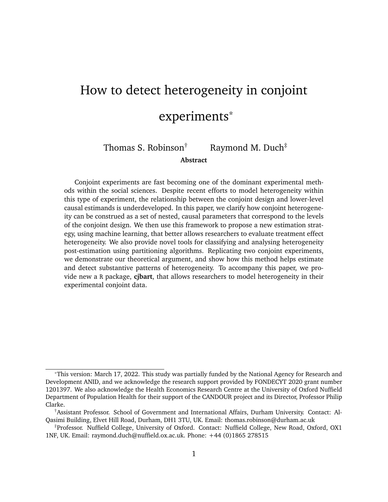a set of sub-groups. Beyond convenient dichotomous splits in the data, subgroup analysis becomes unwieldy once researchers want to consider more complex groups of respondents. And typically we have under-developed notions about the functional form of the heterogeneous data generating process. Second, directly interpreting subgroup differences across models can be misleading if each subgroup's preference differs over the reference level [\(Leeper et al. 2020\)](#page-36-2). Third, subgroup analyses reduce the number of observations in each model, increasing uncertainty by preventing the models from "borrowing" shared variation between subsets of the data.

We propose a strategy for detecting and characterizing heterogeneity in these marginal effects that overcomes these limitations by exploiting the richness of the data generated in conjoint experiments. We build on a growing corpus of work highlighting the utility of machine-learning methods in experimental settings [\(Hill 2011;](#page-35-2) [Green and Kern 2012;](#page-35-3) [Wager and Athey 2018;](#page-37-1) [Künzel et al. 2019\)](#page-36-3) to develop a new technique that allows researchers to estimate heterogeneous treatment effects in conjoint experiments. We also present strategies to *characterise* the potential drivers of this heterogeneity, without imposing *a priori* assumptions about the form it takes.

To illustrate the challenge that scholars face, consider a recent conjoint experiment conducted by [Duch et al.](#page-35-4) [\(2021\)](#page-35-4). This 13-country conjoint experiment asked subjects to choose amongst two profiles of potential prioritized recipients of a COVID-19 vaccine. In Figure [1a](#page-3-0) we replicate the AMCE and sub-group estimates for hypothetical profiles who had low incomes. On average, subjects were more likely to choose profiles that were labelled low-income relative to those on an average income, and subgroup analyses suggest the effect of this attribute-level is conditioned by subjects' own ideological stance.

However, Figure [1b](#page-3-0) suggests the narrative is not quite as simple as the subgroup analysis would suggest. Here we plot the selection probabilities (by colour) and densities (by height) for low-income profiles, conditioning on both ideological self-identification and the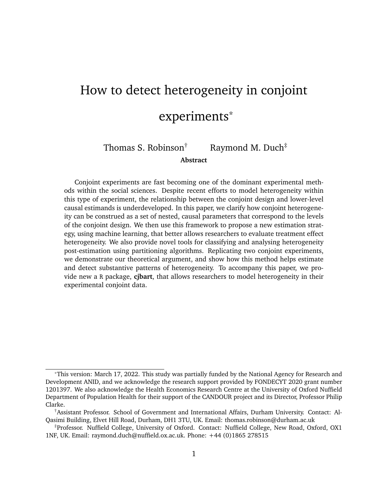**Figure 1.** Impact of respondents' ideology on choosing to prioritise vaccinating low-income profiles

<span id="page-3-0"></span>

**(a)** AMCE estimates for the "Lowest 20% income-level" attribute-level, estimated on the full data and subsets containing Left/Centre and Right-leaning subjects respectively.



**(b)** Proportion of profiles selected (marginal mean) that contain the "Lowest 20% income-level" attribute-level, by subjects' ideology and country. The height of the bars reflect the number of observations in each cell.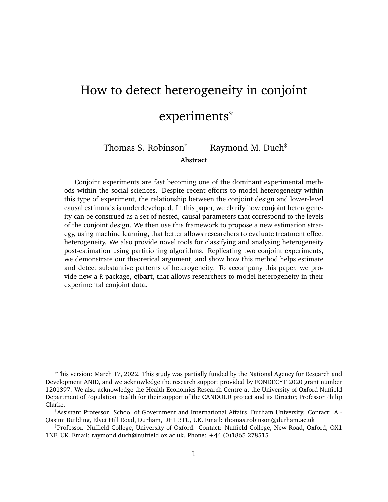country of each subject in the [Duch et al.](#page-35-4) [\(2021\)](#page-35-4) study. The data comprising this plot covers 82,503 forced choices made by the 15,536 participants in the study. While we do see a general trend that right-leaning subjects are less likely to prioritise low-income profiles, there is quite clear heterogeneity in this relationship *across* contexts. For some countries – like Brazil, Uganda, and India – the relationship is far less pronounced.

The subgroup strategy demonstrated in Figure [1a](#page-3-0) fails to capture this cross-country variation in part because it involves a more complicated, *a priori* specification of subgroups. In turn, running separate models for left and right-identifying subjects would entail estimating 24 separate models, each powered by far fewer observations. Even if this were feasible, this strategy would still omit variation within the dichotomous ideological splits. For example, subjects in Canada and the UK both exhibit notable variation *within* right- and left-leaning subjects respectively.

In contrast to the subgroup approach, our strategy can identify heterogeneity in treatment effects without imposing any *a priori* functional form on the model. In other words, given the rich data that is generated by the conjoint design, we allow the model itself to find interactions between randomised conjoint attributes and subjects' characteristics. Moreover, by training a model on all available observations our strategy leverages the full density of the experimental data, improving the precision and power of the estimates.

In this study we make three novel contributions to the study of treatment effect heterogeneity in conjoint experiments. First, we address a recent interest in subject-specific or conditional treatment effects within conjoint analysis [\(Abramson et al. 2020;](#page-33-0) [Zhirkov](#page-37-2) [2021\)](#page-37-2). Our contribution is to clarify how these lower-level causal quantities are situated within the structure of conjoint designs: we present a simple derivation of nested causal effects that disaggregates the AMCE to the level of the individual, round, and observation within the experiment.ches

Second, we build on non-parametric approaches that leverage machine learning esti-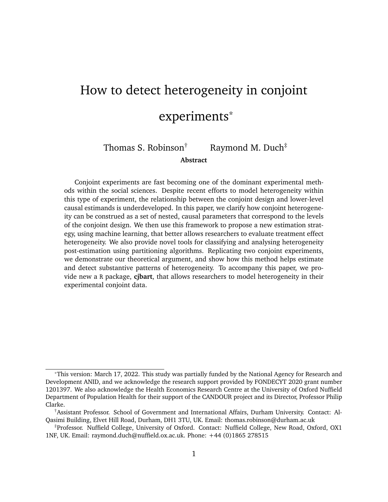mators in order to estimate heterogeneity in experimental treatment effects [\(Hill 2011;](#page-35-2) [Green and Kern 2012;](#page-35-3) [Wager and Athey 2018;](#page-37-1) [Künzel et al. 2019;](#page-36-3) [Duch et al. 2020\)](#page-35-5). We estimate heterogeneous treatment effects by predicting counterfactual treatment outcomes at the observation-level; these estimated effects are then aggregated to produce higher-level treatment effect estimates. To do so, we propose a non-parametric strategy based on Bayesian Additive Regression Trees (BART) – a highly-flexible, easy-to-implement algorithm that is suited to estimating heterogeneity in experimental treatment effects [\(Hill](#page-35-2) [2011;](#page-35-2) [Green and Kern 2012;](#page-35-3) [Duch et al. 2020\)](#page-35-5). Unlike typical subgroup analyses and other recent approaches that focus on modelling each individual separately [\(Zhirkov 2021\)](#page-37-2), this model is able to leverage the full support of the data rather than relying on much smaller subsets of observations. As part of this approach, we also provide variance estimators that exhibit good coverage, allowing researchers to quantify the uncertainty over these predicted effects.

Third, we provide a strategy for characterising the extent and types of heterogeneity once we have estimated the nested causal quantities. Our method builds on recent developments in the machine learning field that allow for bias-corrected estimates of the importance of variables within random forest models [\(Ishwaran and Lu 2019\)](#page-36-4). We repurpose this strategy to measure how important different subject-level covariates are for partitioning the distribution of estimated individual-level marginal component effects, and thus identify which variables are driving treatment effect heterogeneity.

We demonstrate our approach with two different datasets: first, we replicate an archetypal conjoint study on preferences over immigrants conducted by [Hainmueller et al.](#page-35-6) [\(2013\)](#page-35-6), and second we use the recent [\(Duch et al. 2021\)](#page-35-7) conjoint study of global preferences over Covid-19 vaccination policies to explore preference heterogeneity. To accompany the paper, we also provide a new R package – *cjbart* – that implements our proposed method, allowing researchers to estimate and analyse treatment effect heterogeneity within con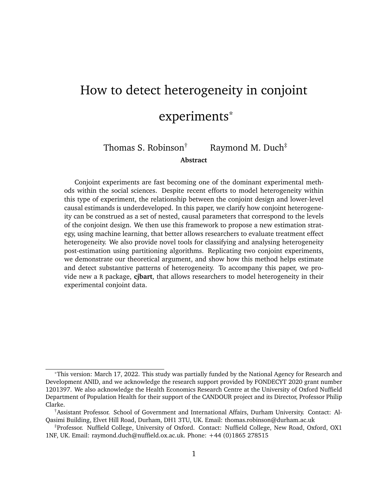joint experiments. This package is available on the Comprehensive R Archive Network (CRAN).

In the next section, we first deconstruct the typical parameter of interest in conjoint studies indicating its relation to lower-level quantities of interest. Section [2](#page-10-0) then provides details on our estimation strategy. Section [3](#page-20-0) provides new tools for characterising and analysing the resultant distribution of individual-level quantities of interest. Finally, Section [4](#page-24-0) presents an applied demonstration of our approach.

## <span id="page-6-0"></span>**1 Nested causal quantities in conjoint designs**

Conjoint discrete choice experiment allow for efficient estimation of multiple causal parameters that affect preferences. Subjects are presented with profiles that randomly vary along a defined set of attributes. Since the value of each attribute is simultaneously randomised (we call the possible values "attribute-levels"), and subjects make a discrete choice over which profile they "prefer",<sup>[3](#page-0-0)</sup> we can estimate the marginal effects of each attribute on subjects' choices through repeated observation.

In this section, we demonstrate how the recoverable parameters from this type of experiment can be conceived of as a series of nested causal quantities, related to the multi-level structure of the conjoint design. We restrict our focus to cases where there is complete randomisation of each attribute-level.[4](#page-0-0) This assumption simplifies the analysis and estimation of the causal parameters, and is the typical design employed by researchers in practice.

Suppose N individuals (indexed by i) choose between  $\vee$  profiles across K rounds of the experiment. Within each round of the experiment, we randomly assign attribute-levels across L attributes for each profile [\(Hainmueller et al. 2013\)](#page-35-6). Having run the experiment,

 $3$ Note that this preference may not strictly be in utility terms. For example, conjoint designs have asked subjects to consider which candidate subjects believe to be more corrupt [\(Spencer and Theodoridis 2020\)](#page-37-3).

<sup>&</sup>lt;sup>4</sup>In other words, where the probability of assigning each attribute-level is constant within each attribute and entirely independent of the values of other attributes.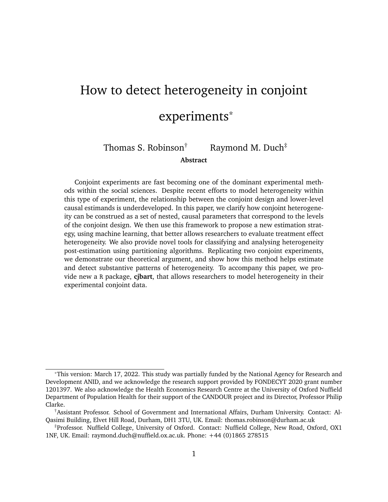the researcher faces a data structure with  $N$  J K rows and  $L + X$  columns (where  $X$  are any covariates observed for each subject), from which causal parameters of interest can be estimated.

The most common parameter estimated from this design is the **average marginal component effect** (AMCE). This estimand is theoretically complex. It reflects the overall effect of a specific attribute-level on the probability of choosing a profile (compared to some baseline reference level), after accounting for the possible effects of the other attributes in the design. To account for these other effects, the parameter is averaged over the effect variations caused by these other attributes. We defer describing the potential outcome estimand to Appendix Section [A,](#page-38-0) and instead here focus on the conditional expectations from the data for ease of interpretation.[5](#page-0-0)

With complete randomisation of these attributes, the AMCE for a single attribute-level can be estimated from the observed data as

$$
\gamma = \mathbb{E}[Y_{ijk}/T_{ijkl} = I_1] \quad \mathbb{E}[Y_{ijk}/T_{ijkl} = I_0].
$$

where  $Y_{ijk}$  is a binary indicator of whether an individual (*i*) chose a given profile (*j*) in a round (k) of the conjoint experiment,  $T_{ijk}$  is the value randomly assigned to the *lth* attribute for that specific profile,  $l_1$  is the attribute-level of interest,  $l_0$  is a reference category.[6](#page-0-0) As a difference-in-means, and again assuming complete randomisation of each attribute's value, this quantity is easily recovered using linear probability models (LPMs).

By definition, the AMCE captures the central tendency of subjects' behavior with respect to each attribute of the design. Often, however, we are interested in whether these

<sup>5</sup>Appendix Section [A](#page-38-0) describes the [Hainmueller et al.](#page-35-6) [\(2013\)](#page-35-6) potential outcome estimand of the AMCE and shows how the lower-level causal quantities defined in this paper relate to it. We keep our notation similar to [Hainmueller et al.](#page-35-6) [\(2013\)](#page-35-6), though we make some slight abbreviations to improve the succinctness of our specification.

 $^6$ Strictly, the AMCE for the attribute-level  $l_1$  should be denoted  $l_1$  since there may be more than two possible values within attribute *l*. We drop the subscript in this paper for clarity.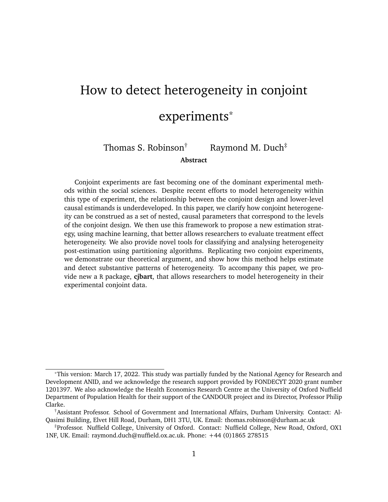effects differ dependent on subject characteristics or the context of the experiment. For example, [Duch et al.](#page-35-7) [\(2021\)](#page-35-7) run the same conjoint in multiple countries to assess whether individuals around the world exhibit the same behavior over prioritising Covid-19 vaccinations. Each country-model in their design reflects a subgroup analysis of the total sample data.

As others have also noted, the AMCE can be disaggregated into more granular causal quantities of interest [\(Abramson et al. 2020;](#page-33-0) [Zhirkov 2021\)](#page-37-2). Here we formalise this logic with respect to the structure of the data generating process itself. First, we can disaggregate the AMCE into the  $N$  individual-level effects. By the law of iterated expectations, we can state the AMCE  $\ell = E[i|j]$ ; where *i* indicates the respondents of the conjoint survey. In other words, the average marginal component effect is the average over the individual-level effects ( $_{ii}$ ). This lower-level parameter is the **individual-level marginal** effect (IMCE), and reflects the change in probability for a specific subject *i* of choosing a profile given an attribute-level (compared to some reference category) averaged over the effects of all other attributes.

By a similar logic to the AMCE, the IMCE can be estimated as:

$$
\gamma_{ij} = \mathbb{E}[Y_{ijk} | T_{ijk} = I_1; i] \quad \mathbb{E}[Y_{ijk} | T_{ijk} = I_0; i].
$$

This specification is similar to a subgroup analysis of AMCEs, but rather than subsetting the data along a single covariate at some (arbitrary) split along that dimension, we consider the conditional effect that corresponds to all covariate dimensions associated with subject *i* (both observed and unobserved).

This individual-level marginal effect is substantively useful because it allows researchers to inspect heterogeneity in the treatment effects derived from conjoint experiments [\(Abram](#page-33-0)[son et al. 2020\)](#page-33-0), and is commensurate with more general heterogeneous effect estimation strategies [\(Künzel et al. 2019\)](#page-36-3). By recovering a vector of individual-level estimates, we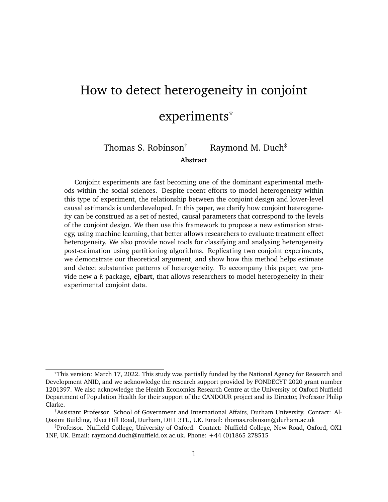can compare how non-randomised aspects of the data (i.e. subjects' characteristics) correspond to the magnitude and direction of the individual-level predicted effects.

The IMCE in turn can also be considered an average, this time over the repeated observations taken for that individual (i.e. the choices over profiles subjects make across multiple rounds of the conjoint experiment). This aggregation is more complicated because, in conventional conjoint designs, subjects see  $J$  profiles per round and make a forced choice *between* these profiles.[7](#page-0-0) First, therefore, we can disaggregate the **round-level marginal component effect** (RMCE). This is the effect of a component within a specific round  $(k)$ of the experiment for a given individual, and is an average effect when  $J = 2$ :

$$
\gamma_{ikl} = \mathbb{E}[Y_{ijk} | T_{ijkl} = I_1; i, k] \quad \mathbb{E}[Y_{ijk} | T_{ijkl} = I_0; i, k].
$$

Finally, we can see that the RMCE is itself an average across the individual profiles of that round – a key characteristic of the forced choice conjoint design. We define the **observation-level marginal component effect** (OMCE) as

$$
\hat{j}_{jkl} = [Y_{ijk} / T_{ijkl} = I_1; i, j; k] \quad [Y_{ijk} / T_{ijkl} = I_0; i, j; k].
$$

Unlike the IMCE and RMCE, the OMCE is by definition a counterfactual parameter. It relies on a wholly unobservable feature of the world: an alternate treatment schedule in which just a single attribute-level were changed for profile  $j$  presented to individual  $i$ in round  $k$  of the experiment. In other words, there is no averaging across observations. Consequently, we conceive of the OMCE as the most granular theoretical causal quantity of interest within the conjoint design.

While the OMCE is counterfactual, it serves a useful statistical purpose given its analytical relationship to the IMCE. A conjoint design randomises attributes across both rounds and profiles of the experiment and we assume that there is no serial correlation to sub-

 $\overline{7}$ Typically, conjoint experiments have 2 profiles per round.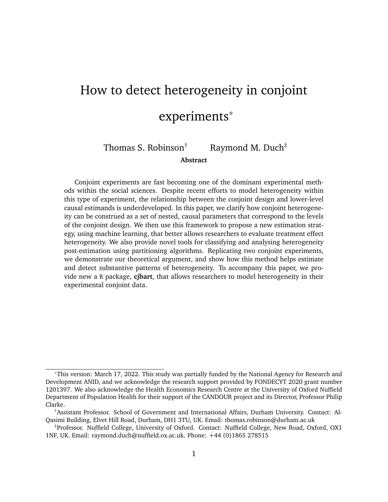jects' behavior – in other words, the observed effects are stable and do not carryover across rounds [\(Hainmueller et al. 2013\)](#page-35-6). As a consequence, each OMCE, denoted  $_{ijkl}$ , can be thought of as an independent draw from the individual-level distribution. We can leverage this feature when making predictions about these individual-level marginal effects (as shown in Section [2.1\)](#page-12-0).

To summarise, notice that we derived these three quantities – the IMCE, RMCE and OMCE – as disaggregations of the AMCE. In reverse, we can see that, under the assumption of a completely randomised design, the AMCE itself is a three-step aggregation: averaging over observations, rounds of the experiment, and then subjects. Algebraically, we can express this relationship as:

$$
I = E_{i} E_{k} E_{j}[j_{jkl}]
$$
  
\nh  
\n= E\_{i} E\_{k} E\_{j}[Y]T\_{ijkl} = I\_{1}; i; j; k] [Y]T\_{ijkl} = I\_{0}; i; j; k]

where subscripts under the expectation symbol indicate over what level the conditional means are taken.

In short, conjoint designs allow researchers to estimate a series of nested causal quantities related to each other by the repeated application of the law of iterated expectations. In Table [1,](#page-11-0) we illustrate this relationship visually. Each respective estimand is a nested quantity that relates to the structure of the observed data collected via conjoint designs. As such, each estimand covers increasingly aggregate portions of the data.

# <span id="page-10-0"></span>**2 Estimating the IMCE**

Estimating lower-level marginal effects give us specific leverage over questions about the heterogeneity of these effects. We propose that the most effective level of analysis is the individual-level, since we can analyse how the IMCE varies dependent on characteristics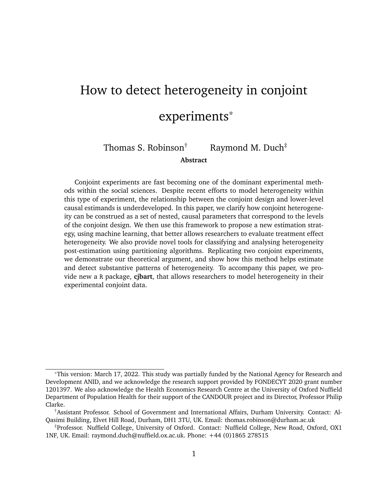<span id="page-11-0"></span>

|  | Subject Round Profile Attribute | $\sim 2.22$                            | $\mathsf{V}$ |      |             |             |
|--|---------------------------------|----------------------------------------|--------------|------|-------------|-------------|
|  | A                               | $\mathcal{I} \mathcal{I} \mathcal{I}$  |              | OMCE | RMCE $\geq$ |             |
|  | В                               | $\mathcal{I} \mathcal{I} \mathcal{I}$  |              |      | <b>IMCE</b> |             |
|  | А                               | $\mathcal{I}(\mathcal{I},\mathcal{I})$ |              |      |             |             |
|  | А                               | 111                                    |              |      |             | <b>AMCE</b> |
|  |                                 |                                        |              |      |             |             |
|  | В                               | $\cdots$<br>$\mathbf{r}$               |              |      |             |             |
|  | A                               | $\cdots$<br>$\cdot$ $\cdot$ $\cdot$    |              |      |             |             |

**Table 1.** Nested causal quantities in a conjoint experiment

The above example reflects the structure of observations in the data collected from a conjoint experiment where the *l*th attribute has two possible levels ("A" and "B"). *y* is the observed forced choice outcome in the experiment. *y<sub>l'</sub>* is the counterfactual *unobserved* outcome where the *l*th attribute is switched. The various causal estimands relate to different nested sets of observations within the data.

of the subjects. In this section, therefore, we propose a three step strategy to recover estimates of the IMCEs.

First, we model the relationship between the forced choice outcome, conjoint attributelevels, and subject-level covariates. This allows us to estimate some function that captures the potentially heterogeneous relationship between the conjoint attributes and subjects' characteristics when making choices in the experiment. Second, we use the trained model to predict counterfactual outcomes at the observation-level from which we can estimate OMCEs. Third, following the nested logic outlined in Section [1,](#page-6-0) we aggregate these OMCE estimates to the level of the individual in order to recover estimates of the IMCEs.

It is worth noting that researchers could use any number of possible estimators to model subject-level heterogeneity in the first step. We provide a specific implementation in this paper and accompanying software that uses Bayesian Additive Regression Trees (BART) [\(Chipman et al. 2010\)](#page-34-5), but other researchers may wish to pursue alternative types of model. To that extent, the general approach detailed here can be considered a metastrategy for estimating individual-level marginal effects in conjoint designs.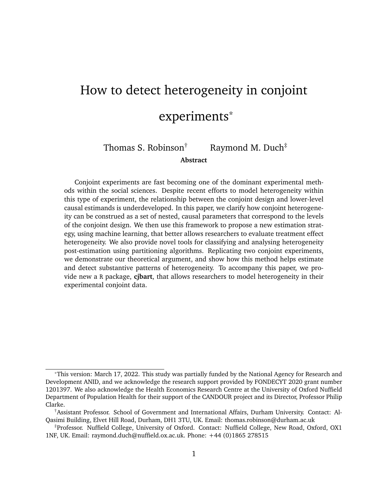One key benefit of this meta-strategy is that *all* data is used when estimating the relationship between observed covariates, attribute-level assignments, and the conjoint outcome. This is in contrast to both subgroup analysis (where effects are modelled for only a smaller number of individuals who share a covariate value) and more recent approaches that recommend running separate models for each individual [\(Zhirkov 2021\)](#page-37-2). Particularly, when modelling each individual separately, the cost constraints on experimental survey length may lead to large imprecision in the estimates. In our proposed method, the model leverages the full support of the data, across all observations, to discover covariate interactions that modify the causal effect at the individual-level. In Section [4](#page-24-0) we demonstrate the comparative performance of our method compared to a subset-based strategy.

Moreover, by using machine learning, this method improves the analysis of potential heterogeneity in two ways. First, it reduces researcher degrees of freedom to arbitrarily run many subgroup analyses, which we would expect to inflate the chances of false positive discoveries. Second, it enables the identification of more complex relationships between variables. Common to many machine-learning methods, the model itself (rather than the researcher) determines the final functional form of the relationship between the supplied predictor variables and the outcome.

#### <span id="page-12-0"></span>**2.1 Parameter estimation**

**Step 1** In the first step, we use BART to model potential heterogeneity in the observed experimental data defined as:

$$
P(Y_{ijk} = 1/\overline{T_{ijk}}; X_i) = f(T_{ijk}; X_i) \quad \hat{f}(T_{ijk}; X_i);
$$

where  $Y_{ijk}$  is the observed binary outcome,  $T_{ijk}$  is the vector of treatment assignments across the L attributes, and  $X_i$  is the vector of covariate information for subject *i* considering profile *j* in round *k* of the experiment. *f* is some unknown true data generating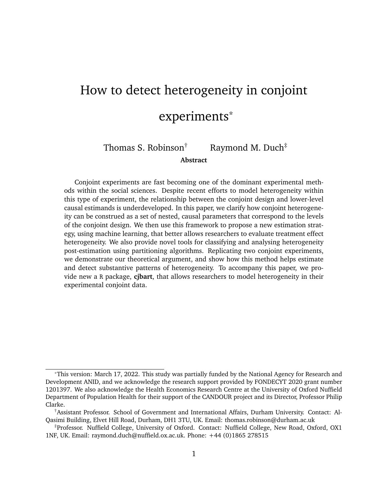process, and  $\hat{f}$  is an estimated model of that function.

BART is a tree-based supervised machine learning strategy which models the response surface by *summing* the predictions of many constrained individual tree models [\(Chipman](#page-34-5) [et al. 2010\)](#page-34-5). Unlike random forest models, the outcome is not the average across a set of complex trees. Instead each tree is a "weak learner" that seeks to explain only the *residual* variance in the outcome not explained by the  $T$  1 other trees. BART models also have convenient Bayesian properties that allow us to recover variance estimates at the IMCE level, which we discuss below.

To estimate the BART model, we supply a matrix of "training" data at the observationlevel. The training data are simply the results of the conjoint experiment. Each row reflects a profile within a round shown to a specific subject. The matrix columns comprise the observed individual decision (0 or 1) regarding that profile; the assigned attribute-levels for each of the  $\angle$  attributes in the vignette (which vary within individuals); and covariate columns that are invariant at the individual-level. During training, the BART algorithm iterates through the trees in the model, many times over, updating the tree parameters to minimize the error between a vector of predictions  $\hat{Y}$  and the observed outcomes Y.<sup>[8](#page-0-0)</sup>

**Step 2** Using the final trained model  $(\hat{f})$ , we predict counterfactual outcomes (i.e. whether the profile was selected or not) changing the value of attribute-levels. Specifically, to recover a vector of OMCE estimates of attribute-level  $l_1$ , we take z draws from the predicted posterior using a "test" matrix which is identical to the training dataset, except each element in the column corresponding to attribute *l* is set to the value  $l_1$ .<sup>[9](#page-0-0)</sup> We then repeat

<sup>&</sup>lt;sup>8</sup>We use a probit-specific version of BART that better handles the binary outcome typical of this type of discrete-choice design. The probit outcomes are transformed back to probabilities prior to the computation of OMCEs.

<sup>&</sup>lt;sup>9</sup>In our software implementation,  $z = 1000$  – the default used in the [Sparapani et al.](#page-36-5) [\(2021\)](#page-36-5) implementation of BART in R. These draws are taken using a Gibbs Sampler, obtained through a Monte Carlo Markov Chain (MCMC) backfitting algorithm. [Chipman et al.](#page-34-5) [\(2010\)](#page-34-5) show that, with sufficient burn-in, these sequential draws converge to the posterior of the true data generating process (p.275).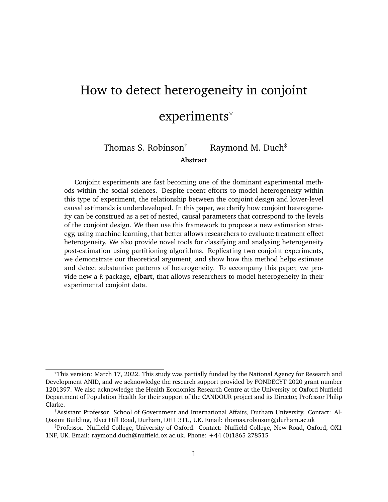this process, except the value of this column is now set to  $l_0$ , the reference category. This process yields two separate matrices of dimensions  $z$   $N$ , which approximate the posterior distribution for each observation for two separate attribute values respectively  $(l_1$  and  $l_0$ ). Subtracting these two matrices yields a single matrix of predicted OMCE estimates – z per observation. Finally, therefore, to recover a parameter estimate of the OMCE, we simply average these z predictions for each observation to yield a vector of observation-level effects:

$$
\text{OMCE} = \frac{1}{Z} \hat{f}(T_{ijkl} = I_1; X_i) \hat{f}(T_{ijkl} = I_0; X_i) :
$$

**Step 3** Finally, consistent with the logic outlined in Section [1,](#page-6-0) the IMCE estimates can then be calculated by averaging the OMCEs for each individual *:* 

$$
IMCE = \lambda_{ii} = \frac{1}{J \ K} \times \times \text{Var}(K)
$$

### <span id="page-14-0"></span>**2.2 Uncertainty estimation**

We can also use the  $z$  N matrix of predicted OMCEs from the BART model to estimate the uncertainty both at the observation and individual level. We propose two separate approaches: a credible interval that allows for a Bayesian interpretation of the parameter uncertainty, and a confidence interval that allows for frequentist inference.<sup>[10](#page-0-0)</sup>

Aggregated credible intervals. The Bayesian approach takes the 1 posterior interval of the OMCE-level predictions. To aggregate this interval to the IMCE level, we concatenate the posterior draws for each OMCE estimate, and take the  $=2$  and  $(1)$  = 2 quantiles of this combined vector. Given that the posterior distribution is a random variable, this credible interval indicates the central 1 proportion of the probability mass for the parameter's posterior. In other words, since the parameter itself is random in the Bayesian

<sup>10</sup>Both strategies are implemented in the accompanying statistical software **cjbart**.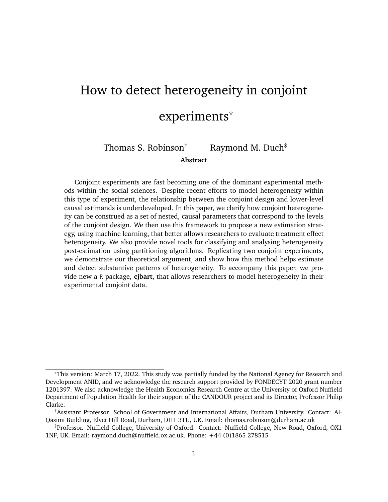framework, we are straightforwardly estimating the range that the parameter will likely fall in.

*Combined parameter estimates*. To make frequentist claims about the parameter estimate, we treat the uncertainty estimation as akin to a multiple imputation problem [\(Rubin](#page-36-6) [2009\)](#page-36-6). The OMCEs reflect individual draws from the IMCE, each with an estimated variance. To calculate the total variance of the IMCE, we can "combine" these estimates as a weighted sum of the within and between variance components:

$$
\sqrt[n]{(\gamma_{ij})} = \sqrt{w} + 1 + \frac{1}{J \ K} \ \sqrt{B}
$$
\n
$$
\sqrt[n]{w} = \frac{1}{J \ K} \ \sqrt[N]{\ \sqrt[N]{y}} \ \sqrt[N]{\ y_{kl}}
$$
\n
$$
\sqrt[N]{B} = \ \frac{(\gamma_{ijkl} - \gamma_{il})^2}{(J \ K)^{-1}}.
$$

The confidence intervals derived from this approach allow users to make claims about the likelihood of any given interval containing the true (non-random) parameter value.

### **2.3 Simulation tests of the estimation strategy**

Using Monte Carlo simulations, we find that our method effectively detects IMCE heterogeneity caused by heterogeneous *preferences*. We simulate a full conjoint experiment in which subjects make choices between two profiles. Each profile contains three conjoint attributes that are randomly assigned one of two values:  $A_1 = fa/bg; A_2 = fc; dg; A_3 =$ fe; fg. To induce heterogeneity, we define subjects' *preferences* over attribute levels as a function of two individual-level covariates – varying this relationship across attributes. The first covariate  $c_1$  is a binary variable drawn from a binomial distribution of size 1 with probability 0.5; the second covariate  $c_2$  is a continuous variable drawn from a uniform distribution with bounds [-1,1].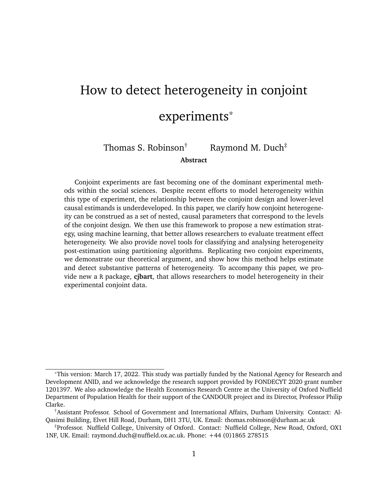We define the change in utility as a result of observing the second level for each attribute as follows:

$$
\sum_{n=1}^{\infty} N(1 - 1; 1) \quad \text{if } c_1 = 1
$$
  
\n
$$
\sum_{n=1}^{\infty} N(1 - 1; 1) \quad \text{otherwise.}
$$
  
\n
$$
U_{A_2} \quad N(1 - jc_2 \quad 0:2j; 1)
$$
  
\n
$$
U_{A_3} \quad N(1 - 0; 1) \quad \text{otherwise.}
$$

We then simulate the conjoint experiment run on 500 subjects, for 5 rounds each, in which individuals choose between 2 profiles. For each observation, we calculate the utility for subject *i* given profile *j* in round  $k$  as:

$$
U_{ijq} = I(A_1 = b) \qquad U_{A_1} + I(A_2 = d) \qquad U_{A_2} + I(A_3 = f) \qquad U_{A_3} + \frac{1}{2}I_{A_1} + \frac{1}{2}I_{A_2} + \frac{1}{2}I_{A_3}
$$

where  $N(0/0.0005)$  adds a small amount of noise to each utility calculation (to prevent exact draws).

For each round  $j$  that subject  $i$  sees, the profile that yields the higher change in utility is "chosen" ( $Y = 1$ ), and the other is not ( $Y = 0$ ). Therefore, we mimic the technical dependence between observations that forms the basis of the discrete choice design.

Given this specification, the BART estimation strategy should predict heterogeneous IMCEs for the first two attributes (A1 and A2) but not for the last attribute (A3). Moreover, when we inspect the correlation between IMCEs and the covariate  $c_1$  we should find that the IMCEs for A1 are positive when  $c_1 = 1$ , but negative when  $c_2 = 0$ . We should not observe a correlation between  $c_1$  and the continuous heterogeneity in A2.

Figure [2](#page-17-0) demonstrates the results of this experiment. Our strategy effectively discovers heterogeneous IMCEs when the heterogeneity over preferences is a function of a binary variable – the positive and negative preferences perfectly correspond to the values of this covariate. Conversely, in the third facet, the completely random assignment of utility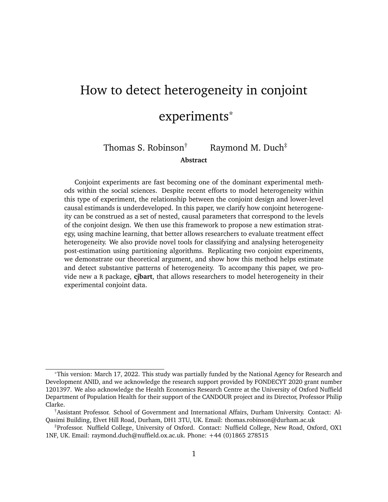**Figure 2.** Detecting heterogeneity in IMCEs using simulated conjoint data derived from preferences over profiles

<span id="page-17-0"></span>

Point estimates of the IMCEs for 500 subjects shown with 95% Bayesian intervals (as described in Section [2.2\)](#page-14-0)

across individuals yields no sign of heterogeneity in IMCEs nor correlation between  $c_1$  and the size of effects.

Importantly, the model also effectively discovers heterogeneity in the IMCE for A2 but does not exhibit correlation with  $c_1$ . This separation between heterogeneity detection and its correlation with covariates is important. Under a conventional, subsetting strategy, the analyst would likely also note that conditional AMCEs for A2 do not covary with  $c_1$ . However, they would not be able to tell, subsetting based on  $c_1$ , that there is substantial heterogeneity to the marginal component effect. We conjecture that as the complexity of the covariance between covariates and IMCEs increases it will become harder for the analyst to adequately pre-specify models that would be capable of detecting this heterogeneity.

Over 100 simulations of this exercise, we calculate the correlation between the covariate  $c_1$  and the three distributions of IMCEs pertaining to the three attributes respectively. On average, the correlation between  $c_1$  and A1 is 0.998. By comparison, the average cor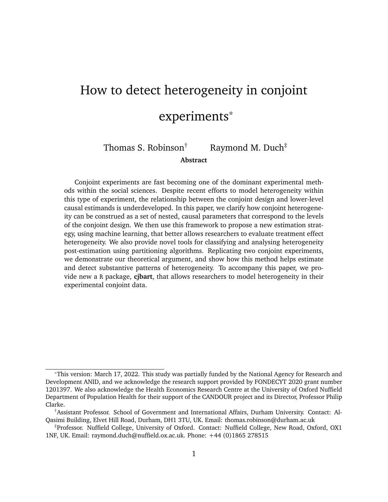relation between  $c_1$  and A2 and A3, where *a priori* neither are related to  $c_1$ , are 0.002 and 0.004 respectively.

We extend this discussion of the simulated performance of our method in the Appendix. In Section [B1](#page-39-0) we demonstrate that the estimation method exhibits good predictive accuracy when IMCEs themselves are simulated across DGPs of varying form and complexity. We also find that our two variance estimation strategies both exhibit good coverage of the 95% interval (Section [B2\)](#page-43-0). Finally, we test whether RMCEs can be used to detect whether effects are serially correlated by round (a violation of a conjoint experiment's assumptions) in Section [B3.](#page-48-0)

### **2.4 Applied test of BART-estimated AMCEs**

In Section [1](#page-6-0) we note that the AMCE can be considered the double aggregation of the hypothetical observation-level effects. As an applied sense check of our method, we demonstrate this empirically using data from an archetypal conjoint experiment by [Hainmueller](#page-35-6) [et al.](#page-35-6) [\(2013\)](#page-35-6). In the experiment U.S. subjects made a series of forced choices between two profiles describing potential immigrants, indicating which they would prefer to admit. The attributes presented in the profiles reflected traits hypothesized to matter in typical immigration decision making, including the migrant's profession, country of origin, and language skills.

We compare the *average* marginal component effects estimated by a linear probability model (the conventional estimating strategy) to the AMCEs recovered by averaging over the IMCEs estimated using our heterogeneous effects strategy. We expect to see similar estimates across both strategies. Full estimation details are provided in Appendix Section [C.](#page-51-0)

Figure [3](#page-19-0) compares the point estimates of the AMCE under our BART strategy and those of the conventional linear probability model approach. For all but one coefficient, we see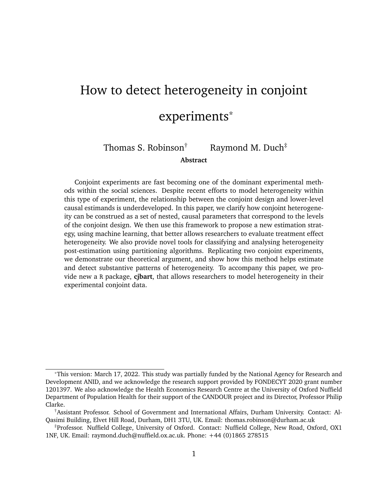that the predicted effects are very similar. This is strong *prima facie* evidence that the BART model is appropriately estimating the response surface: the individual-level effects do, in aggregate, reflect the parametric estimation of the AMCE. The only coefficient for which there is disagreement between the two strategies is the 'seek better job' migration motivation level – this is because the linear probability model failed to recover an estimate due to co-linearity with the reference category. Interestingly, the flexibility of BART allows us to recover a point estimate for this parameter.



<span id="page-19-0"></span>

The off-diagonal point on this line is for the attribute-level 'seek better job' which could not be recovered from the parametric model due to colinearity with the reference category.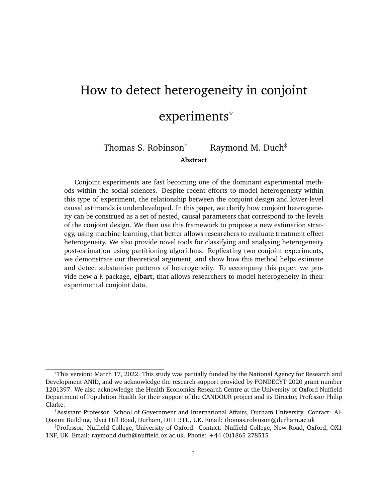# <span id="page-20-0"></span>**3 Comparing Sources of Heterogeneity**

A particular attraction of heterogeneous effects estimation is that we are able to test whether treatment effects differ at the individual-level. To date, however, we have lacked principled methods of characterising any observed heterogeneity. In this section, we therefore propose two tools researchers can use to systematically recover indicators of *which* covariates are driving heterogeneity in the marginal treatment effects and the interactions between variables.[11](#page-0-0) Both tools rely on tree-based learning methods to group the predicted IMCEs based on covariate information. In general, tree-based modelling approaches are well suited to this type of problem since they work by partitioning the outcome variable into clusters (or terminal nodes) where the differences in outcomes between members of the same cluster are as small as possible [\(Breiman et al. 1984\)](#page-34-6).

We first introduce a standardised variable importance (VIMP) measure that summarises how well different covariates predict each distribution of IMCEs. This standardised measure can be used to explore the potential sources of heterogeneity in the marginal component effects systematically across all attributes in the experiment. Second, we show how single regression trees can subsequently be fit to better inspect the determinants of heterogeneity for specific attribute-levels of interest. This second step builds on the VIMP analysis by using the tree's decision rules to identify clusters, defined by subject covariates, that best define this heterogeneity. For each cluster, researchers can recover the conditional marginal component effect and thus also analyse the extent of heterogeneity in the treatment effects.

<sup>11</sup>Both tools are implemented in our R package **cjbart**.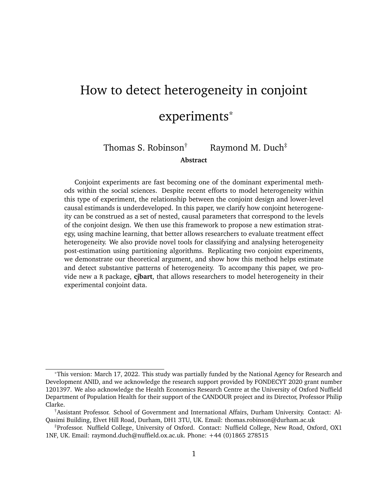### <span id="page-21-0"></span>**3.1 Random forest variable importance**

Our first tool summarises which covariates matter for predicting differences in the IMCE distributions for all attribute-levels in a conjoint experiment. We use random forests to estimate the relationship between the predicted IMCEs and subject-level covariates. Random forests operate by estimating many separate decision-trees, where the training data is bootstrapped across trees, and each tree considers only a random subset of variables. The result is an ensemble model that is less prone to bias [\(Breiman 2001\)](#page-34-7). We then use variable importance metrics recovered from the trained random forest to identify variables that are particularly predictive of heterogeneity. In turn, these variables can drive subsequent analyses which we present in Section [3.2.](#page-22-0)

More formally, for each attribute-level, we train a random forest to model the heterogeneity in the predicted IMCE distribution. We use bold notation here to denote that we are estimating a vector of IMCEs, using a matrix of subjects' covariate information  $(X)$  as the predictor variables:

$$
\wedge_{ii} \quad \hat{f}^{\rm RF}(\boldsymbol{X}):
$$

Once this model has been trained, we then recover variable importance measures (VIMPs) – a common form of model analysis for tree-based methods – to understand which covariate dimensions are most useful for partitioning the data [\(Archer and Kimes 2008\)](#page-34-8). In general, VIMP measures work by deliberately permuting a predictor variable and measuring how much this random noise degrades the performance of the model. A higher degradation of performance is indicative that the variable in question is more predictive of the outcome. For our purposes, we use VIMP scores to measure how well the included subject covariates predict each vector of IMCEs. Higher importance scores suggest that partitioning the IMCEs on these variables is informative.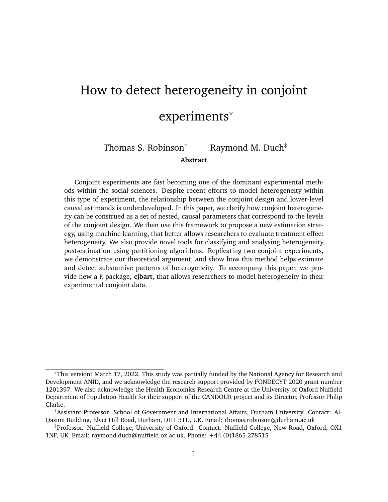Standard permutation-based variable importance measures are known to suffer from significant bias, particularly when variables are measured on different scales or, in the case of nominal variables, have different numbers of categories [\(Strobl et al. 2007\)](#page-37-4). We therefore use a recent adaptation of VIMPs that permutes the *assignment* of observations down the tree rather than the value of the observations [\(Ishwaran and Lu 2019\)](#page-36-4). Under this strategy, whenever a tree splits on the target variable the observation is randomly assigned to a child-node. Moreover, this VIMP measure allows one to recover bias-corrected variance estimates of VIMP scores, by using delete-d jackknife estimation (see [Shao and](#page-36-7) [Wu 1989\)](#page-36-7).

The importance of different subject-level covariates may differ dependent on the specific attribute-level in question. We therefore recover separate VIMP scores for each IMCE separately. In practise, we recover a VIMP importance score for each combination of covariate and attribute-level, allowing us to plot a heatmap of variable importance across the design as a whole. In Section [4](#page-24-0) we demonstrate how this schedule of VIMP scores can be analysed to understand what drives heterogeneity for each attribute-level in the conjoint experiment.

### <span id="page-22-0"></span>**3.2 Single decision tree partitioning**

The random forest VIMP tool compares how well subject-level covariates predict each IMCE distribution. Given its reliance on random forests, however, it is less useful for substantively interpreting the partitioned IMCE space. The final model contains many trees, where each individual tree only considers a random subset of variables and a bootstrap sample of the data. We therefore propose a complementary tool that fits a single decision tree on an attribute-level of interest. Like the random forest model, the single-tree model recursively partitions the vector of IMCEs using a matrix of covariate information. Unlike the random forest method, since only one model is fit the individual splitting rules from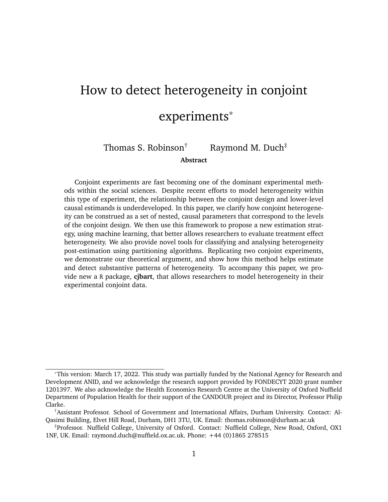this tree can be directly interpreted and used to inspect the heterogeneity in the IMCEs.

Single tree models typically fit many splits to the data, making interpretation difficult. This feature reflects the inherent trade-off in machine learning methods between the complexity of the fit model and the risk of mispredicting observations. In other words, a more complex tree may reduce prediction error (in training) but the incurred complexity reduces the variance of the model (leading to overfitting). Therefore, to ensure the tree is interpretable, we follow the convention of "pruning" the fit model. Since the partitioning is recursive and "greedy", we know that earlier splits in the tree are those that provide the greatest leverage over differentiating observations.<sup>[12](#page-0-0)</sup> By removing later splits, pruning has the effect of paring back the cluster definitions (i.e. the combination of decision rules) to a more parsimonious level.

In practice, trees are pruned by setting a complexity parameter (cp). In the case of continuous outcomes, this determines the minimum increase in the overall  $R^2$  of the model needed in order for a split to be kept in the model [\(Therneau et al. 1997\)](#page-37-5). For the purpose of interpreting IMCE heterogeneity, we find that a complexity parameter of about 0.02 is sufficient to constrain the decision-tree to a depth that is substantively meaningful – yielding about 2 - 3 levels of partitioning.

Post-pruning, we can use the fit model to describe the underlying heterogeneity in the IMCE distribution. One very useful feature of decision trees is that, in this context, the terminal nodes reflect the conditional average marginal component effects defined by the splitting rules in the tree. This is similar to estimating marginal component effects for specific subgroups. Crucially, unlike manual subsetting approaches where subgroups have to be specified *a priori*, with a decision tree the clusters are *discovered* during model fitting

 $12$ In a recursive partitioning algorithm, the first split selects that variable (and cutting point) which minimizes the loss function associated with the resulting two partitions of the data. This process is then repeated for each child node, holding fixed the initial split. The fact that the parent split is not re-evaluated once the next layer of decision rules are determined means that the algorithm is "greedy".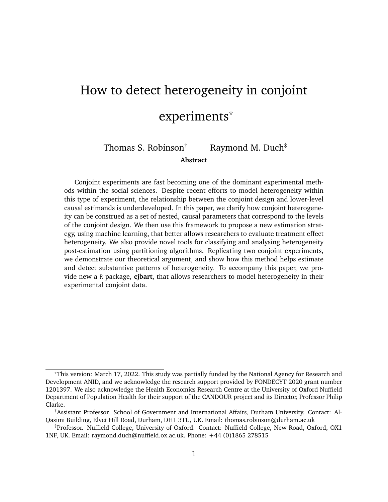itself. This is particularly useful since the tree, splitting sequentially on multiple variables, may define complex groups. For example, it may find a stronger effect for subjects aged under 25 years old *and* who are ideologically left-leaning compared to left-leaning but older respondents. We illustrate this approach in the next section.

# <span id="page-24-0"></span>**4 Analysing heterogeneity in a multi-national conjoint experiment**

In this final section, we consider an application of the framework and estimation strategy outlined in Sections [1](#page-6-0) and [2.](#page-10-0) We analyse causal heterogeneity in a very large conjoint dataset that encompasses a diverse group of subjects surveyed from 13 countries, and then compare our approach to a recent alternative strategy proposed in [Zhirkov](#page-37-2) [\(2021\)](#page-37-2).

**Detecting heterogeneous effects** Our data is taken from the [Duch et al.](#page-35-7) [\(2021\)](#page-35-7) multinational study on Covid-19 vaccine prioritization. This experiment asks subjects to choose which of two hypothetical individuals should be given priority for a Covid-19 vaccine. Each profile displays five attributes – the recipients' vulnerability to the virus, likely transmission of the virus, income, occupation, and age – and all values are totally randomly assigned. Subjects make a total of 8 choices in the experiment. The data also contains information on *subjects*' country of origin, age, gender, ideology, income, education, hesitancy over vaccination, and measures of their willingness to pay for a vaccine.

The original study finds consistent AMCEs across all the countries surveyed. Nevertheless, it is reasonable to suspect that these AMCEs may mask heterogeneity with respect to individual-level covariates. This experiment is particularly suited to a study of heterogeneous effects, since with approximately 250,000 observations in total and harmonised covariate information across countries, there is ample data to model complex relationships (at the cost of computational intensity). To take advantage of the diversity of our data,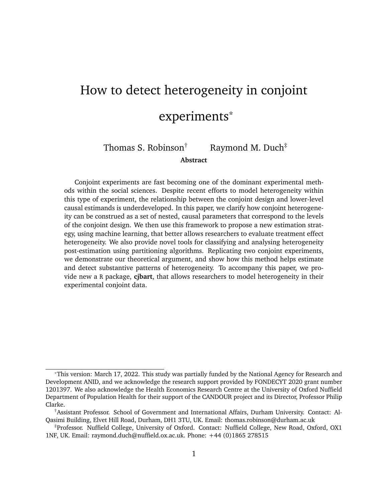we train a BART model on all five conjoint attributes and the set of covariate information for each profile using **cjbart**, using all observations from the 13 countries surveyed in the experiment. From this model, we automatically recover a schedule of IMCE estimates for each attribute-level.

With multiple covariates, however, systematically identifying the drivers of heterogeneity is difficult. This is particularly acute in the case of conjoint experiments where we have separate IMCE vectors for each attribute-level, which means researchers are faced with a dense schedule of predicted effects. We address this challenge by using the tree-based measure of variable importance, as discussed in Section [3.1.](#page-21-0)

We use our proposed VIMP tool as the first step in identifying plausible sources of heterogeneity in the schedule of IMCEs estimated from the [Duch et al.](#page-35-7) [\(2021\)](#page-35-7). The method estimates a standardised importance score for each combination of the 10 covariates and 16 attribute-levels in the conjoint design. Figure [4](#page-26-0) provides a graphical summary of how well each covariate predicts the attribute-levels in the [Duch et al.](#page-35-7) [\(2021\)](#page-35-7) conjoint. Clearly, the country of a respondent is a highly predictive factor across most attribute-levels in the model. This is perhaps unsurprising, given the diversity of contexts considered and differing levels of Covid-19 infections at the point the experiment was fielded.

Most interestingly, some subject-level variables appear to condition IMCEs for specific attributes. For example, while subjects' age is not a particularly important predictor of heterogeneity across most attributes, it is very predictive when considering the age of the potential vaccine recipient. In general, this suggests that whether one is willing to prioritise individuals based on age may well be driven by one's own age (which we explore in more detail below), and second that this is perhaps most important for the 65 year old label where the risks of Covid-19 begin to become more severe.

Similarly, ideology appears particularly important when partitioning the IMCEs related to the potential vaccine recipient's income. This finding accords with conventional expec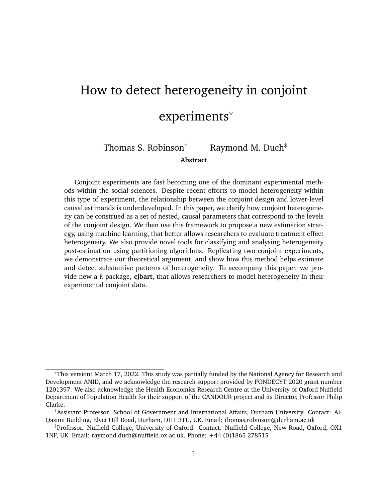**Figure 4.** Variable importance matrix having estimated separate random forest models on each attribute-level in the model. Higher values indicate variables that were more important in terms of predicting the estimated IMCE distribution

<span id="page-26-0"></span>

tations about the relationship between political ideology and service provision, but does usefully highlight that one's own ideological position does appear to predict how willing one is to prioritise those on low incomes.

Given the results from the VIMP summary measure, we can use our second proposed tool described in Section [3.2](#page-22-0) – a single pruned decision tree – to inspect this heterogeneity in more detail. On the basis of the variable importance heatmap in Figure [4,](#page-26-0) for example, we would expect that subjects' age is used to partition the IMCE vectors for prioritising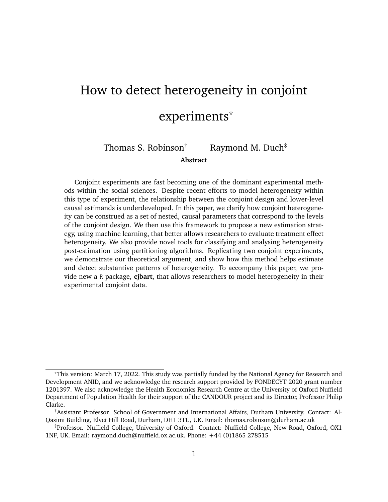subjects of different ages.

Figure [5](#page-28-0) presents a single decision tree for the IMCEs related to prioritising vaccines for "65 year olds". Note first that the split confirms the VIMP analysis results in Figure [4](#page-26-0) that identify subject's age as an important source of heterogeneity for the "65 years old" attribute-level. Here we can clearly see that the initial split is between those subjects aged younger than 37 or not. Notably, while all final clusters have average marginal component effects that are positive, older subjects (over the age of 37) exhibit a predicted average marginal effect (0.12) that is about 33 percent larger than younger subjects. Moreover, in the terminal nodes of the tree, the group with the highest predicted average effect is that defined solely by being older than 69 – suggesting some egocentric aspect to vaccine prioritisation beliefs.

These two complementary tools, the VIMP and single decision tree splitting, provide a comprehensive and robust way to identify sources of treatment effect heterogeneity in conjoint experiments. Finally, we show one further way of summarizing these results visually by plotting the full ordered distribution of IMCEs for a given variable against the corresponding distribution of a covariate. In Figure [4](#page-26-0) we noted that subjects' ideology was an important predictor of IMCEs for the income-related attribute-levels in the conjoint experiment. In Figure [6,](#page-29-0) therefore, we visualize this particular relationship by plotting the IMCEs against a histogram of subjects' self-reported ideology.

As Figure [6](#page-29-0) shows, there is quite clear and distinct heterogeneity. The IMCE effect line exhibits a marked jump, at which point the marginal component effect almost doubles. Those lower IMCEs (around the 0.01 mark) are individuals whose ideology is right-leaning (at or above 6 on a 0-10 scale). In contrast, after the jump in the effect, subjects are much more left-leaning. Clearly, ideology does not play a perfect role. Within these two portions of the distribution, varying degrees of ideology are more uniformly distributed, and at the very right of the IMCE distribution we see that something else appears to be driving a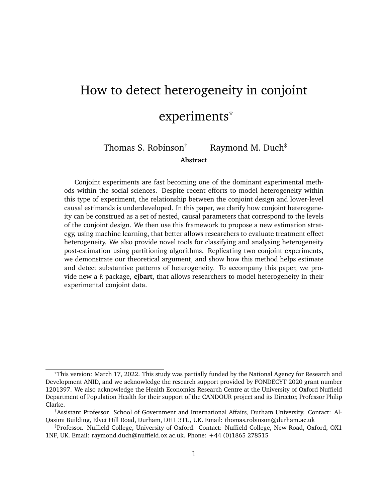**Figure 5.** Pruned decision-tree of predicted IMCEs for prioritising vaccines for those "65 years old", using subject-level covariate information to partition the vector of individuallevel effects.

<span id="page-28-0"></span>

further uptick in the predicted IMCE, to approximately four times the effect size of rightleaning subjects. In Appendix Section [4](#page-28-1) we show that an alternate, OLS-based estimation strategy fails to detect this heterogeneity and proves difficult to use in conjoint experiments without very large numbers of observations per subject (as in this vaccination study).

<span id="page-28-1"></span>**Comparison to OLS-based approach** To demonstrate the comparative performance of our approach, we also estimate IMCEs using an alternative strategy proposed recently by [Zhirkov](#page-37-2) [\(2021\)](#page-37-2). In short, this method estimates separate OLS regression models for each subject. The resultant coefficients are unbiased estimates of the same IMCE quantity we outline in Section [1.](#page-6-0)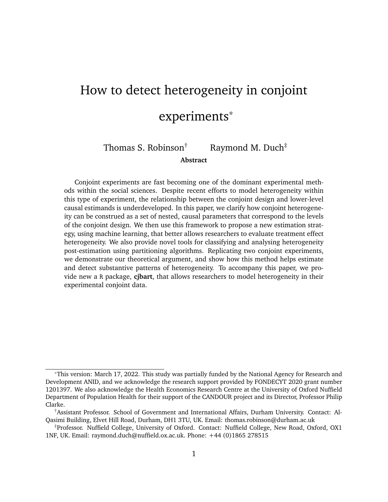<span id="page-29-0"></span>

**Figure 6.** Comparison of IMCEs for the "Lowest 20% income level" attribute-level ordered from smallest to largest and corresponding histogram of individuals' self-reported ideology

Using our method we find a strong correlation between individuals' ideology and the predicted IMCEs for the low income attribute-level of the [Duch et al.](#page-35-7) [\(2021\)](#page-35-7) experiment. Under the [Zhirkov](#page-37-2) [\(2021\)](#page-37-2) OLS strategy, we would expect to see a similar result – both in terms of the distribution of IMCEs and its correlation with individuals' self-reported ideology. To test this expectation, we estimate separate linear probability models for each individual in our data and, again, compare the ordered distribution of IMCEs to a corresponding histogram of subjects' ideology.

Two practical features of the regression approach complicate this analysis using OLS. Since each subject completed eight rounds of the conjoint experiment (a number we think is quite typical for a conjoint design), each model has only 16 observations (2 profiles per round) and thus the individual models will be imprecise. [Zhirkov](#page-37-2) [\(2021\)](#page-37-2) directly acknowledges this limitation, and notes that the OLS approach ideally requires subjects to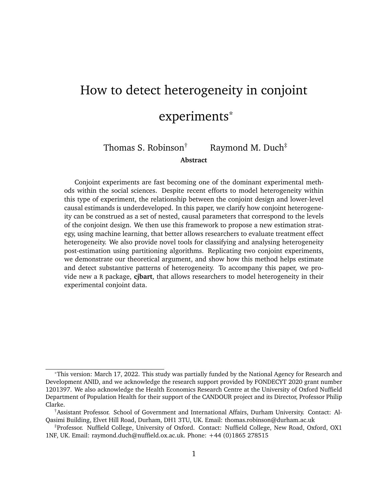rate closer to 30 profiles in total. We believe that, while this large number of activities may be feasible in principle, it goes beyond the budgetary constraints of most researchers.

Moreover, even when the number of observations approaches 30, [Zhirkov](#page-37-2) [\(2021\)](#page-37-2) recommends using interval rating scales rather than the binary, forced-choice outcome. While many conjoints implement both a rating and forced-choice scales of measurement, we believe the forced-choice outcome is the most interesting aspect. It allows us to think of the effects directly in terms of marginal probabilities, and thus to consider the behaviour of subjects (a choice of candidate) rather than just an attitude (the subjects' rating of two candidates).

Using the [Duch et al.](#page-35-7) [\(2021\)](#page-35-7) data, the OLS approach yields 5369 IMCE estimates outside of the range that reflect possible changes in probability (-1 to 1). In our analysis below, we exclude all estimates that fall outside of this range. Excluding these estimates, however, leads to a 34 percent reduction in the number of IMCEs we can inspect.<sup>[13](#page-0-0)</sup>

Figure [7](#page-31-0) displays the ordered distribution of estimated IMCEs using this OLS strategy, plot against a histogram of individuals' self-reported ideology. We do not observe the same correlation as in our BART estimation. The correlation coefficient between the IMCEs and ideology in the OLS case is negligible and statistically insignificant  $(r = 0.01; p = 0.20)$ compared to a strong correlation with respect to BART ( $r = 0.75$ ;  $p < 0.001$ ). Looking at the distribution of IMCEs, moreover, the OLS strategy does not seem to have modelled the data well. The distribution is very symmetric, centred on zero and with tails that contain implausibly large effects.

While these are not the ideal conditions for the [Zhirkov](#page-37-2) [\(2021\)](#page-37-2) approach, we do believe the vaccine experiment resembles a typical conjoint design. As such, we believe our MLbased approach has some distinct advantages. In particular, since the ML heterogeneity model leverages all observations in the data, our estimation strategy is less reliant on

 $13$ Of these individuals, only 5935 uncertainty estimates were parametrically recoverable.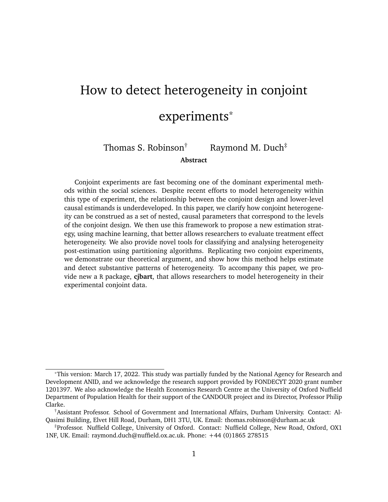<span id="page-31-0"></span>



having many observations per experimental subject. We are able to estimate IMCEs for each of 12,000 subjects in the [Duch et al.](#page-35-7) [\(2021\)](#page-35-7) experiment compared to just over 7800 using the OLS method.<sup>[14](#page-0-0)</sup> Relatedly, our ML-derived IMCE estimates are, on face value, more plausible in terms of the magnitude of effects.

Perhaps most importantly, our approach is able to detect and capture how subject covariate information modifies the size and direction of these marginal component effects. The OLS method rests on the fact that this heterogeneity is implicitly detected when the marginal effects are modelled for each individual separately. In our proposed method, since the trees in the BART model can identify interactive effects between the supplied covariates and the attribute-levels, it can explicitly model these effect modifiers. The result,

 $14$ These counts exclude those individuals who did not answer the ideology question in the survey.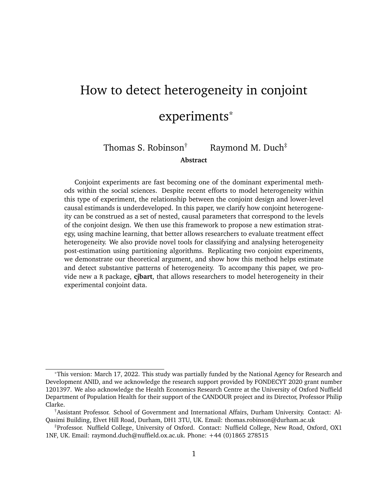in this case, is that our method identifies the correlation between subjects' ideology and their treatment of low-income vaccine recipients in a way that the OLS strategy does not.

# **5 Discussion and Conclusion**

The attraction of conjoint experiments is a rich data generating process that allows us to tease out the choice characteristics that shape individuals' decision making. This type of experimental design is fast becoming one of the dominant experimental methods within the social sciences. A rich methodological literature is developing that explores how advances in conjoint estimation can enhance its informative value. Others, for example, have explored how to improve generalizability by weighting profile distributions to their actual occurrence in the populations of interest [\(de la Cuesta et al. 2021\)](#page-34-9), and how to use eyetracking software to better understand the decision-making process and the processing of conjoint vignettes [\(Jenke et al. 2021\)](#page-36-8).

We make a small contribution to this wider development, by clarifying how the conjoint design relates to the structure of the data collected, and how we can leverage the nature of this data generation to estimate heterogeneous treatment effects across conjoint attributes. Heterogeneity can be characterized in terms of a set of nested, causal estimands that correspond to the repeated observations across individuals, rounds, and profiles of the conjoint design. Using machine learning tools, we show how to estimate heterogeneous treatment effects in the conjoint design using the potential outcomes framework. Our strategy allows researchers to assess treatment effect heterogeneity in a straightforward and flexible manner.

We suggest that machine learning is particularly useful given its ability to identify more complicated relationships between predictor variables without the need for researchers to specify these *a priori*. By reducing researcher degrees of freedom, our proposed general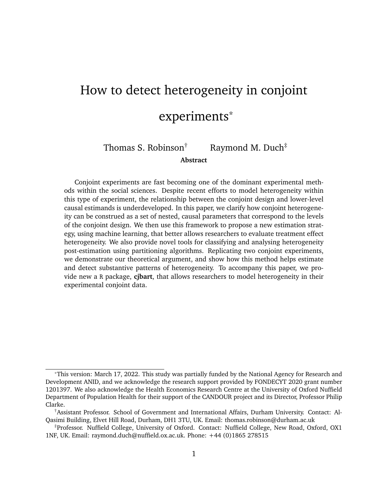method provides a more robust means of analysing heterogeneity compared to *ad hoc* subgroup analyses. Moreover, since our estimation strategy leverages all observations in the modelling stage, our method has greater statistical power than approaches that rely on estimating separate subset models.

Our specific estimation strategy relies on BART – a powerful Bayesian method for estimating heterogeneity that lends itself well to the potential outcomes logic of our framework. To accompany this paper, we provide a new R package, **cjbart**, that allows researchers to use our method on their experimental conjoint data. More generally, however, our proposed meta-strategy could be used with other forms of modelling. For example, researchers may wish to use random forests or neural networks instead.

Finally, estimating heterogeneity – that is, generating individual-level estimates of treatment effects – is only half the battle. Once researchers recover these individual-level estimates, the challenge is to identify which dimensions drive differences in the effects. We provide two complementary tools that help researchers make sense of the estimated distribution of individual-level effects. We demonstrate how random forests variable importance measures (VIMP) can be used to summarise which variables are most important for predicting heterogeneity in the IMCEs. We then show how single regression tree models can be used to partition IMCE distributions into clusters, where the decision rules provide information about which covariates define those clusters. This paper also shows how these results can be visualized to aid analysis.

# **References**

<span id="page-33-0"></span>Abramson, Scott F. , Korhan Kocak, Asya Magazinnik, and Anton Strezhnev (2020, July). Improving preference elicitation in conjoint designs using machine learning for heterogeneous effects.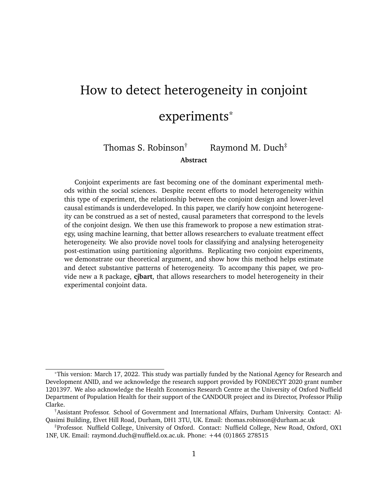- <span id="page-34-8"></span>Archer, Kellie J and Ryan V Kimes (2008). Empirical characterization of random forest variable importance measures. *Computational statistics & data analysis 52*(4), 2249– 2260.
- <span id="page-34-3"></span>Awad, Edmond , Sohan Dsouza, Richard Kim, Jonathan Schulz, Joseph Henrich, Azim Shariff, Jean-François Bonnefon, and Iyad Rahwan (2018). The moral machine experiment. *Nature 563*(7729), 59–64.
- <span id="page-34-1"></span>Ballard-Rosa, Cameron , Lucy Martin, and Kenneth Scheve (2017). The structure of american income tax policy preferences. *The Journal of Politics 79*(1), 1–16.
- <span id="page-34-2"></span>Bansak, Kirk , Jens Hainmueller, and Dominik Hangartner (2016, 09). How economic, humanitarian, and religious concerns shape european attitudes toward asylum seekers. *Science 354*.
- <span id="page-34-4"></span>Bansak, Kirk , Jens Hainmueller, Daniel J. Hopkins, and Teppei Yamamoto (2021). *Conjoint Survey Experiments*. Cambridge University Press.
- <span id="page-34-7"></span><span id="page-34-6"></span>Breiman, Leo (2001). Random forests. *Machine learning 45*(1), 5–32.
- Breiman, L. , J. Friedman, C.J. Stone, and R.A. Olshen (1984). *Classification and Regression Trees*. Taylor & Francis.
- <span id="page-34-5"></span>Chipman, Hugh A. , Edward I. George, and Robert E. McCulloch (2010). Bart: Bayesian additive regression trees. *Annals of Applied Statistics 4*(1), 266–298.
- <span id="page-34-0"></span>Chou, Winston , Rafaela Dancygier, Naoki Egami, and Amaney A. Jamal (2021). Competing for loyalists? how party positioning affects populist radical right voting. *Comparative Political Studies 54*(12), 2226–2260.
- <span id="page-34-9"></span>de la Cuesta, Brandon , Naoki Egami, and Kosuke Imai (2021). Improving the external validity of conjoint analysis: The essential role of profile distribution. *Political Analysis*, 1–27.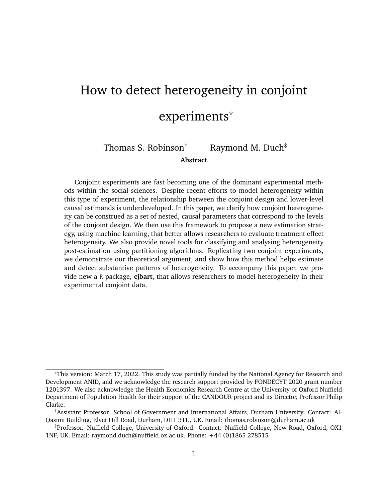- <span id="page-35-5"></span>Duch, Raymond , Denise Laroze, Thomas Robinson, and Pablo Beramendi (2020). Multimodes for detecting experimental measurement error. *Political Analysis 28*(2), 263–283.
- <span id="page-35-7"></span>Duch, Raymond , Laurence S. J. Roope, Mara Violato, Matias Fuentes Becerra, Thomas S. Robinson, Jean-Francois Bonnefon, Jorge Friedman, Peter John Loewen, Pavan Mamidi, Alessia Melegaro, Mariana Blanco, Juan Vargas, Julia Seither, Paolo Candio, Ana Gibertoni Cruz, Xinyang Hua, Adrian Barnett, and Philip M. Clarke (2021). Citizens from 13 countries share similar preferences for covid-19 vaccine allocation priorities. *Proceedings of the National Academy of Sciences 118*(38).
- <span id="page-35-4"></span>Duch, Raymond M , Adrian Barnett, Maciej Filipek, Laurence Roope, Mara Violato, and Philip Clarke (2021). Cash versus lotteries: Covid-19 vaccine incentives experiment. *medRxiv*.
- <span id="page-35-0"></span>Duch, Raymond M , Denise Laroze, Constantin Reinprecht, and Thomas S Robinson (2020). Nativist policy: the comparative effects of trumpian politics on migration decisions. *Political Science Research and Methods*, 1–17.
- <span id="page-35-1"></span>Ganter, Flavien (2021). Identification of preferences in forced-choice conjoint experiments: Reassessing the quantity of interest. *Political Analysis*, 1–15.
- <span id="page-35-3"></span>Green, Donald P. and Holger L. Kern (2012). Modeling heterogeneous treatment effects in survey experiments with bayesian additive regression trees. *Public Opinion Quarterly 76*(3), 491–511.
- <span id="page-35-6"></span>Hainmueller, Jens , Daniel J. Hopkins, and Teppei Yamamoto (2013). Causal inference in conjoint analysis: Understanding multidimensional choices via stated preference experiments. *Political Analysis 531*, 1–30.
- <span id="page-35-2"></span>Hill, Jennifer L. (2011). Bayesian nonparametric modeling for causal inference. *Journal of Computational and Graphical Statistics 20*(1), 217–240.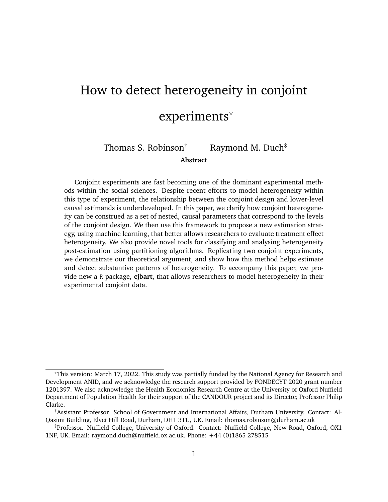- <span id="page-36-4"></span>Ishwaran, Hemant and Min Lu (2019). Standard errors and confidence intervals for variable importance in random forest regression, classification, and survival. *Statistics in medicine 38*(4), 558–582.
- <span id="page-36-8"></span>Jenke, Libby , Kirk Bansak, Jens Hainmueller, and Dominik Hangartner (2021). Using eyetracking to understand decision-making in conjoint experiments. *Political Analysis 29*(1), 75–101.
- <span id="page-36-3"></span>Künzel, Sören R. , Jasjeet S. Sekhon, Peter J. Bickel, and Bin Yu (2019). Metalearners for estimating heterogeneous treatment effects using machine learning. *Proceedings of the National Academy of Sciences 116*(10), 4156–4165.
- <span id="page-36-9"></span>Leeper, Thomas J. (2020). *cregg: Simple Conjoint Analyses and Visualization*. R package version 0.4.0.
- <span id="page-36-2"></span>Leeper, Thomas J. , Sara B. Hobolt, and James Tilley (2020). Measuring subgroup preferences in conjoint experiments. *Political Analysis 28*(2), 207–221.
- <span id="page-36-0"></span>Orme, B. (2010). *Getting started with conjoint analysis: Strategies for product design and pricing research second edition*. Research Publishers LLC.
- <span id="page-36-1"></span>Rehmert, Jochen (2020). Party elites'preferences in candidates: Evidence from a conjoint experiment. *Political Behavior*.
- <span id="page-36-6"></span>Rubin, D.B. (2009). *Multiple Imputation for Nonresponse in Surveys*. Wiley Series in Probability and Statistics. Wiley.
- <span id="page-36-7"></span>Shao, Jun and CF Jeff Wu (1989). A general theory for jackknife variance estimation. *The annals of Statistics*, 1176–1197.
- <span id="page-36-5"></span>Sparapani, Rodney , Charles Spanbauer, and Robert McCulloch (2021). Nonparametric machine learning and efficient computation with Bayesian additive regression trees: The BART R package. *Journal of Statistical Software 97*(1), 1–66.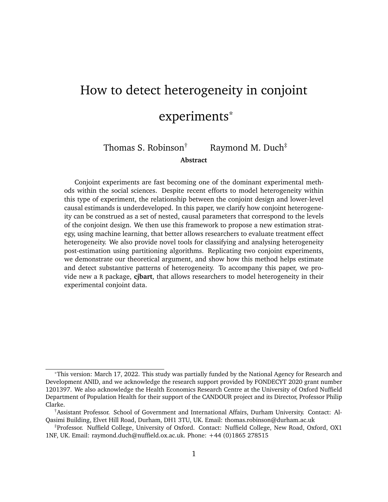- <span id="page-37-3"></span>Spencer, Douglas M and Alexander G Theodoridis (2020). "appearance of corruption": Linking public opinion and campaign finance reform. *Election Law Journal: Rules, Politics, and Policy 19*(4), 510–523.
- <span id="page-37-0"></span>Spilker, Gabriele , Vally Koubi, and Tobias Böhmelt (2020, 07). Attitudes of urban residents towards environmental migration in kenya and vietnam. *Nature Climate Change 10*.
- <span id="page-37-4"></span>Strobl, Carolin , Anne-Laure Boulesteix, Achim Zeileis, and Torsten Hothorn (2007). Bias in random forest variable importance measures: Illustrations, sources and a solution. *BMC bioinformatics 8*(1), 1–21.
- <span id="page-37-5"></span>Therneau, Terry M , Elizabeth J Atkinson, et al. (1997). An introduction to recursive partitioning using the rpart routines. Technical report, Technical report Mayo Foundation.
- <span id="page-37-1"></span>Wager, Stefan and Susan Athey (2018). Estimation and inference of heterogeneous treatment effects using random forests. *Journal of the American Statistical Association 113*(523), 1228–1242.
- <span id="page-37-2"></span>Zhirkov, Kirill (2021). Estimating and using individual marginal component effects from conjoint experiments. *Political Analysis*, 1–14.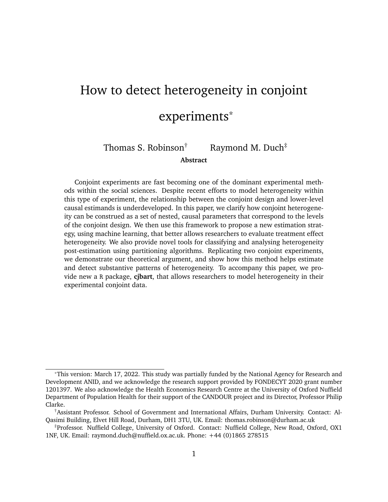# Online Appendix for "How to detect heterogeneity in conjoint experiments"

### <span id="page-38-0"></span>**A Potential outcome estimands**

Borrowing heavily from [Hainmueller et al.'](#page-35-6)s [\(2013\)](#page-35-6) formulation, we can express the AMCE in potential outcomes as:

$$
AMCE = I_1 = E Y_i(I_1; T_{ijk[-1]}; T_{i[-j]k}) Y_i(I_0; T_{ijk[-1]}; T_{i[-j]k}) j(T_{ijk[-1]}; T_{i[-j]k}) 2 \mathcal{F} ;
$$

where  $i \, 2 \, N$  indexes subjects, j indexes profiles within each round k of the experiment,  $l_1$  is some attribute-level of interest within attribute *l*,  $l_0$  is a reference category within the same attribute,  $T_{ijk[-l]}$  reflects the assigned treatment vector for all other attributes in the design,  $T_{i[-j]k}$  is the set of treatment vectors excluding  $T_{ijk}$ , and  $\bar{\tau}$  reflects the intersection of the support of the probability of observing specific realizations of  $T_{ijkl-1}$  and  $T_{il-jlk}$  with  $T_{ijkl} = l_1$  and  $T_{ijkl} = l_0$  respectively.

Since the lower-level causal estimands are conditional versions of the AMCE, we can express them as follows:

$$
IMCE = i_{i_1} = E Y_i(I_1; T_{ijk[-1]}; T_{i[-j]k}) Y_i(I_0; T_{ijk[-1]}; T_{i[-j]k}) j(T_{ijk[-1]}; T_{i[-j]k}) 2 \mathcal{F}; n = i ;
$$

 $RMCE = i_{kI_1} = E Y_i(I_1; T_{ijk[-1]}; T_{i[-j]k}) Y_i(I_0; T_{ijk[-1]}; T_{i[-j]k}) j(T_{ijk[-1]}; T_{i[-j]k}) 2 \bar{\tau}; n = i; K = k$  $\text{OMCE} = i_{jkl_1} = Y_i (I_1; T_{ijk[-l]}; T_{i[-j]k}) - Y_i (I_0; T_{ijk[-l]}; T_{i[-j]k}) j (T_{ijk[-l]}; T_{i[-j]k}) 2 \bar{\tau}; n = i; J = j; K = k;$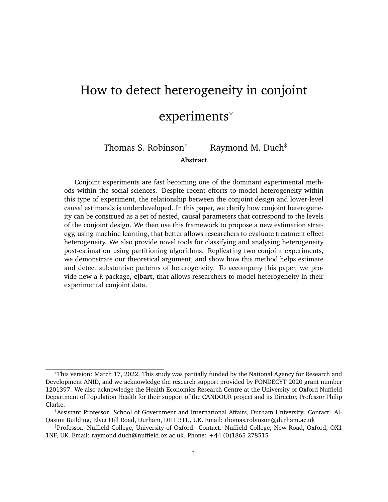# **B Simulation protocols**

### <span id="page-39-0"></span>**B1 IMCE prediction**

To test the accuracy of the IMCE predictions, we simulate datasets with two binary attributes where the IMCE is defined with respect to a series of covariates, and across simulations we vary the relationship between these covariates and the IMCE. Since we wish to benchmark the performance of the model against "known" IMCE values for an attribute, which crucially is not the change in probability of choosing one profile over *another* profile, in this simulation exercise we assume independence between all observations. This is very similar to the assumptions made in a conventional conjoint experiment, from which the AMCE (and as we argue IMCE) are recovered. Hard-coding this independence into the data-generating process allows for better control over the size and shape of heterogeneity.

To illustrate this strategy, suppose we observe two covariates –  $c_1$  and  $c_2$  – that are invariant at the individual-level, and randomly assign to each observation two dichotomous attributes. The first attribute  $X_1$  takes values a or b, and the effect of being presented b over *a* is the difference between the two individual-level covariates (i.e.  $x_1 = c_1$  c<sub>2</sub>). In other words, the marginal component effect of  $b$  is heterogeneous, and dependent on individuallevel characteristics. The second attribute  $X_2$  takes values c or d, and the marginal effect of d over  $c$  is invariant across individuals. Taken together, we get the following schedule of IMCEs:

We can then generate an assignment schedule by sampling at random the attribute levels for  $I$  J observations i.e. attribute-level assignments across J rounds of the experiment on I individuals. Note here that, since we pre-define the IMCEs, we do not sample two observations per round – since, the IMCE does not reflect the probability of choosing one profile over another.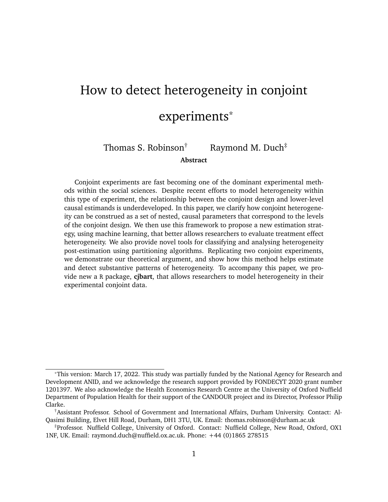<span id="page-40-1"></span>**Table A1.** Hypothetical correlation between IMCEs and two covariate values:  $c_1$  and  $c_2$  are randomly drawn from uniform distributions

|                | C1   | $\mathcal{C}_2$ | $X_1$  | $X_2$   |
|----------------|------|-----------------|--------|---------|
| 1              | 0.1  | 0               | 0.1    | $0.1\,$ |
| $\overline{2}$ | 0.25 | 0.05            | 0.2    | 0.1     |
| 3              | 0.15 | 0.15            | 0      | $0.1\,$ |
|                |      |                 |        |         |
|                | 0.05 | 0.25            | $-0.2$ | 0.1     |

Suppose the probability of choosing the profile is calculated as:

$$
P(Y_{ijk} = 1) = 0.5 + I(X_1 = b)_{X_1} + I(X_2 = d)_{X_2}.
$$

Given these probabilities, for each individual-round-profile, we have a separate predicted probability of that profile being "chosen", i.e. an observed outcome of 1. Table [A2](#page-40-0) presents an example of how these probabilities would be calculated given random assignment of attributes across rounds, and the pre-defined IMCEs in Table [A1.](#page-40-1)

<span id="page-40-0"></span>**Table A2.** Random attribute-level assignment, and calculation of probability

|  |  | i j $X_1$ $X_2$ Calculation Prob Y                                                                                                                   |               |  |
|--|--|------------------------------------------------------------------------------------------------------------------------------------------------------|---------------|--|
|  |  |                                                                                                                                                      | $0.5 \quad 0$ |  |
|  |  | 1 1   a c $\begin{array}{ c c c c c } \hline 1 & 1 & a & c & 0.5 & + 0 & + 0 & 0.5 \\ 1 & 2 & a & d & 0.5 & + 0 & + 0.1 & 0.6 \\ \hline \end{array}$ |               |  |
|  |  | $\begin{array}{c cccc} \vdots & \vdots & \vdots & \vdots \\ I & J & b & c & 0.5 & 0.2 & 0 & 0.3 & 0 \end{array}$                                     |               |  |
|  |  |                                                                                                                                                      |               |  |

Given Tables [A1](#page-40-1) and [A2,](#page-40-0) we train the BART model on the actual attribute-level assignments, the observed covariates, and the outcome:

The BART model then estimates the OMCEs ( $_{ijk}$ ) by making predictions of Y when  $X_1$ is set to b *for all observations* and when it is set to a, and deducting these two values, as demonstrated in Table [A4.](#page-41-0)

Finally, the IMCEs are recovered by averaging the predicted OMCE across observations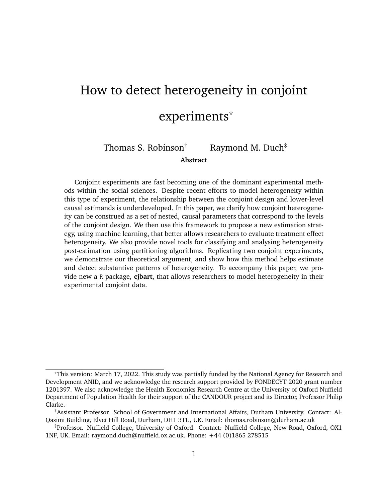**Table A3.** Training data for the BART model

|   | C <sub>1</sub> | C <sub>2</sub> | $X_1$ | $X_2$          |  |
|---|----------------|----------------|-------|----------------|--|
| 1 | 0.1            | 0              | a     | C              |  |
| 1 | 0.1            | 0              | b     | $\overline{c}$ |  |
| 1 | 0.1            | 0              | a     | d              |  |
|   |                |                |       |                |  |
|   | 0.25           | 0.05           | b     | C              |  |

<span id="page-41-0"></span>**Table A4.** Calculating the OMCE by deducting the predicted probabilities under the assumption of different attribute-levels

| i            |      | $\hat{Y}_1X_1 = b \quad \hat{Y}_1X_1 = a$ | $b_{ijkl}$ |
|--------------|------|-------------------------------------------|------------|
| 1            | 0.63 | 0.5                                       | 0.13       |
| $\mathbf{1}$ | 0.71 | 0.6                                       | 0.11       |
| $\vdots$     |      |                                           |            |
|              | 0.29 | 0.5                                       | $-0.21$    |

for the same individual. For example, for  $i = 1$  the predicted IMCE is:

$$
\gamma_{ii} = \frac{1}{J-2}(0.13 + 0.11 + \dots) = 0.109...
$$

Given we know the IMCE for this individual is 0.1, the prediction error for this specific subject is  $\gamma$ <sub>il</sub> il 0.109 0.1 0.009. We use these prediction errors to assess the accuracy of the BART model and corresponding IMCE estimation strategy.

In our actual simulations, we complicate the DGP. We assume that each subject has three observed covariates:  $c_1$  and  $c_2$  are continuous covariates drawn from a random uniform distribution between 0 and some upper bound of heterogeneity (denoted  $h$ );  $c_3$  is a binary variable generated from a binomial distribution with probability  $= 0.5$ . We also assume there is one *unobserved* covariate,  $c_4$ , which is normally distributed across subjects with mean 0 and standard deviation  $h$ . We randomly assign draws from each of these random variables to the 500 subjects.

Table [A5](#page-46-0) summarises the six scenarios we consider. In short, simulations 1 and 2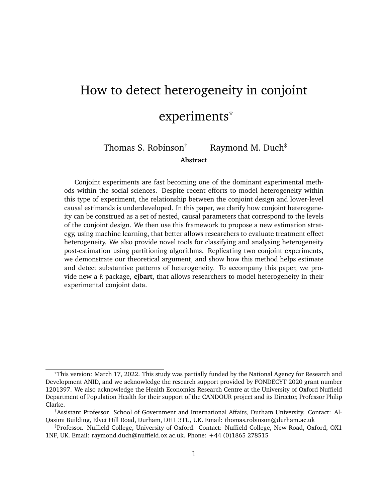consider heterogeneity as a linear function of two observed covariates, varying the size of the heterogeneity parameter  $h$ . In simulation 3, treatment heterogeneity is largely random, although some small component (20%) is a linear function of the two covariates, and in simulation 4 heterogeneity is a function of a binary variable. In simulation 5 we simulate heterogeneity as a function of a missing covariate, and induce some correlation between an observed variable and this unobserved variable. Finally, in simulation 6, we consider an exponential function of heterogeneity (testing the predictive flexibility of the BART model).

For each of 100 iterations, we then generate the data by randomly assigning attribute levels to 500 5 observations, where each set of five observations correspond to the choices of a single subject. We calculate the predicted probability  $p$  of choosing each profile by multiplying the individuals' generated IMCEs by indicator variables for each of the two binary attributes plus a constant of 0.5 (such that, short of any attribute information, subjects are indifferent to the profile). We then draw binary outcomes from the binomial distribution using these predicted probabilities.

For each simulation and each iteration, we calculate the mean absolute error (MAE) between the BART models' IMCE prediction and the "true" IMCE. Figure [A1](#page-43-1) plots the average of each IMCE over 100 iterations, for each simulation specification. On average, we find that the MAE is low across heterogeneity specifications. Both linear, binary, and hetoregeneity as a function of an unobserved covariate all have mean errors of approximately 0.04 to 0.05. When there is substantial random noise to the heterogeneity (simulation 3) we find greater error, but still quite low. What we do notice is at the tails of the IMCE distribution, the BART predicted effects are slightly conservative – as illustrated by the offdiagonal tails of the comparisons. This should be expected – the data is sparser at these points.

v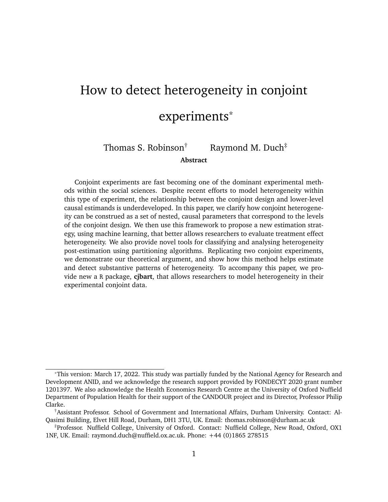**Figure A1.** Average prediction error for each of 500 simulated IMCEs, varying the form of heterogeneity and its relationship to observed covariates.

<span id="page-43-1"></span>

Each panel depicts a separate Monte Carlo simulation, varying how heterogeneity in the IMCEs are defined. The individual points show the average error of the predicted IMCE across 500 iterations. The facet headings also report the mean absolute error (MAE) for each IMCE across these iterations.

### <span id="page-43-0"></span>**B2 Coverage test**

To test the frequentist and Bayesian variance estimators we propose, we run Monte Carlo simulations in which we pre-define the IMCEs for each subject and assess the coverage of the resultant confidence intervals derived from the Bayesian credible intervals and the Rubin's combination rule estimators. As a naive comparison, we also estimate the variance of the IMCE as the simple mean of the OMCE variances for each subject  $i$ , i.e.

$$
\forall (\mathbf{u}) = \frac{1}{J} \times \forall (\mathbf{u})
$$

These IMCEs are themselves defined as normal distributions, where the mean for each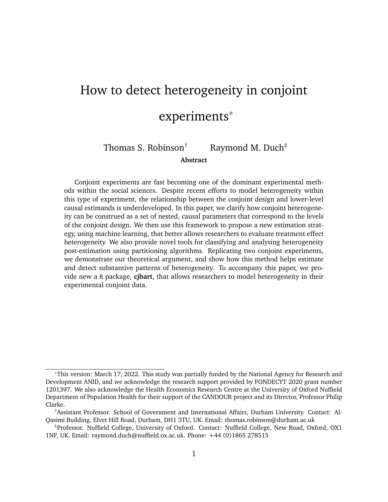subject is dependent on two subject-level covariates, and some standard deviation parameter <sup>i</sup>:

$$
i \qquad \mathcal{N}([C_{1i} \quad C_{2i}]; \quad i)
$$

$$
C_{1i}; C_{2i} \qquad \text{Uniform}(0; c);
$$

where  $c$  and  $i$  are parameters set in the simulation.

In each iteration of the simulations, we take  $j$  draws from the IMCE distribution of each subject. These draws constitute the OMCEs for each subject in the experiment. We simultaneously generate a completely randomised treatment assignment schedule, for the IMCE attribute and one further dichotomous attribute where the IMCE is held fixed at 0.1 with zero variation. Given this assignment, we calculate the probability of picking each profile given the drawn OMCEs. We finally transform the outcome into a dichotomous measure by using the predicted probabilities to take draws from a binomial distribution.

After generating the simulated conjoint data, we calculate the **cjbart** predicted IMCEs and record whether or not the predicted interval contains the true IMCE mean, for each of the three variance estimation strategies. We repeat this process 500 times – generating new simulated data from the same (fixed) schedule of true IMCEs. We recover a single coverage rate for each measure by calculating the proportion of times the simulated IMCE contains the true population parameter for each hypothetical subject, and then take the average across these proportions.

To test the robustness of the coverage rate across contexts, we vary the number of subjects, rounds, the extent of IMCE heterogeneity, and the variance around the IMCE distributions. Table [A6](#page-47-0) details the parameter settings used for each of the seven separate simulation tests we run.

Table [A7](#page-47-1) reports the coverage rates for the three variance estimation methods we consider. We find that, across different scenarios, both the Bayesian interval and confidence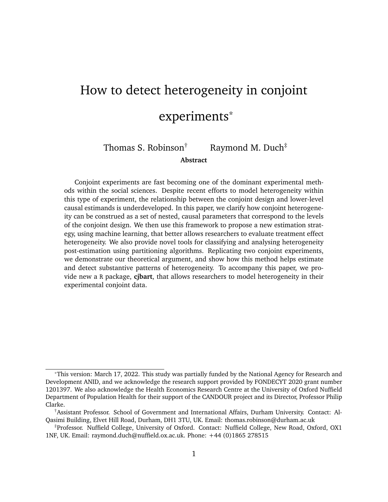interval strategies produce near nominal simulated coverage rates. In general, coverage rates tend to be slightly conservative, estimating a slightly wider interval than necessary. We find, however, that in scenarios 4 and 5 where we increase the number of subjects, and where the naive estimator substantially underestimates the interval, the coverage of both the Bayesian and frequentist intervals are closer to 0.95.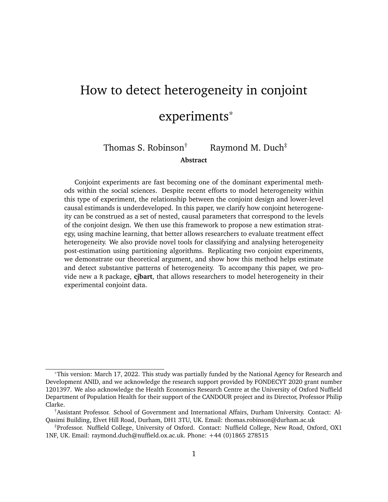<span id="page-46-0"></span>

|                | Sim. $f_{IMCE}$                                                                          | $\mathcal C$                                        | Details                                                                                          |
|----------------|------------------------------------------------------------------------------------------|-----------------------------------------------------|--------------------------------------------------------------------------------------------------|
| $\mathbf 1$    | $C_1$<br>$\mathcal{C}_2$                                                                 | Uniform $(0/h = 0.2)$<br>$\mathcal{C}_X$            | Effects<br>lin-<br>are<br>early<br>heteroge-<br>between<br>neous<br>$h$ and $h$                  |
| $\overline{2}$ | $c_1$ $c_2$                                                                              | Uniform $(0/h = 0.05)$<br>$C_{x}$                   | As above, but the<br>range is<br>much<br>smaller                                                 |
| 3              | $0.2(c_1 \quad c_2) + 0.8 \sqrt{(0.0.125)} \quad c_x$                                    | Uniform $(0/h = 0.2)$                               | Covariates are a<br>weak predictor of<br>IMCE heterogene-<br>ity                                 |
| 4              | If $c_3 = 1$ ; $\mathcal{N}(0.2, 0.05)$ ; $c_3$ Binomial(1,0.5)<br>else, $N($ 0.2, 0.05) |                                                     | IMCE is either<br>positive or nega-<br>tive dependent on<br>observed binary<br>variable          |
| 5              | Uniform $(0/h = 0.2)$<br>$C_4$                                                           | $c_1 = 2 \quad  (c_4 > 0.6h)$<br>N(0, 0.25)         | IMCE is<br>de-<br>termined<br>by<br>unobserved<br>co-<br>variate that also<br>influences $c_1$ . |
| 6              | $c_1$ $2^{c_2} + c_2$                                                                    | Uniform $(0/h = 0.2)$<br>$\mathcal{C}_{\mathbf{x}}$ | Exponential rela-<br>tionship between<br>IMCE and covari-<br>ates                                |

**Table A5.** Sources of heterogeneity in IMCEs, for each of 6 separate simulations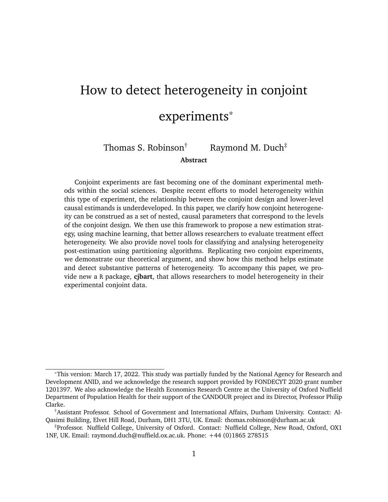| Sim. | Subjects $K$ |    |      |                                |
|------|--------------|----|------|--------------------------------|
| 1    | 500          | 5  | 0.25 | 0.05                           |
| 2    | 500          | 5  | 0.05 | 0.02                           |
| 3    | 500          | 10 | 0.05 | 0.02                           |
| 4    | 1500         | 5  | 0.25 | 0.05                           |
| 5    | 5000         | 5  | 0.25 | 0.05                           |
| 6    | 500          | 5  | 0.25 | Uniform $(0.001/0.05)$         |
| 7    | 500          | 10 |      | $0.25$ Uniform $(0.001, 0.05)$ |

<span id="page-47-0"></span>**Table A6.** Simulation specifications testing the coverage rate of the confidence intervals

<span id="page-47-1"></span>**Table A7.** Comparison of coverage rates across the Bayesian and frequentist intervals.

| Sim. | Naive Estimate Parametric |       | Bayesian |
|------|---------------------------|-------|----------|
| 1    | 0.965                     | 0.973 | 0.977    |
| 2    | 0.996                     | 0.997 | 0.996    |
| 3    | 0.990                     | 0.994 | 0.992    |
|      | 0.938                     | 0.948 | 0.954    |
| 5    | 0.919                     | 0.928 | 0.933    |
| 6    | 0.962                     | 0.971 | 0.975    |
|      | 0.950                     | 0.958 | 0.965    |

We also compare our two proposed variance estimators to a naive variance estimator that is simply the average of the variance across OMCEs.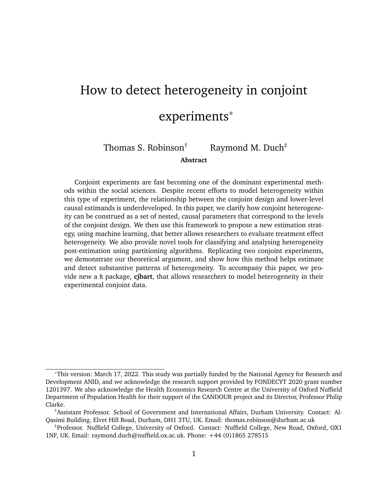### <span id="page-48-0"></span>**B3 RMCE simulation test**

In Section [1](#page-6-0) of the main paper we note that the RMCE, the marginal effect of an attributelevel within a specific round of the experiment, can be estimated as the average of the OMCEs within rounds of the experiment for each individual, rather than over all observations pertaining to that individual. This quantity can be useful to check whether the are any carryover or stability assumption violations that are necessary for valid conjoint analysis.

To check this assumption, we can train our first-stage model including a round-number indicator, allowing the model to learn any relationship between the outcome, effects, and rounds of the experiment. We then assess whether the estimated RMCEs correlate with the round indicator. If there are no carryover effects, in expectation the correlation should be zero.

To demonstrate this logic, we conducted a simulation where we repeatedly generated conjoint data where there either is or is not a serial correlation to the marginal effects of attribute-levels across rounds. Our simulated conjoint experiment contains three attributes (A, B, and C), each with two-levels (a1, a2, b1, etc.). Each experiment is run for 10 rounds and 250 subjects, with two profiles per round, and we simulate 100 separate experiments.

Within each round of each experiment, we define two sets of utility calculations to determine the forced choice between profiles. In the "round-effect" scenario, the total utility of the subject *i* from profile *j* in round *k* is defined as:

$$
U_{ijk}^{\text{Round-effect}} = N(0; 0.001)
$$
  
+ 0.5r  $|(A_{ijk} = a2)$   
+ (0.6 0.1r)  $|(B_{ijk} = b2)$   
+ 0.5  $|(C_{ijk} = c2);$ 

where  $r$  is the round of the experiment. In other words, the effect of level 'a2' increases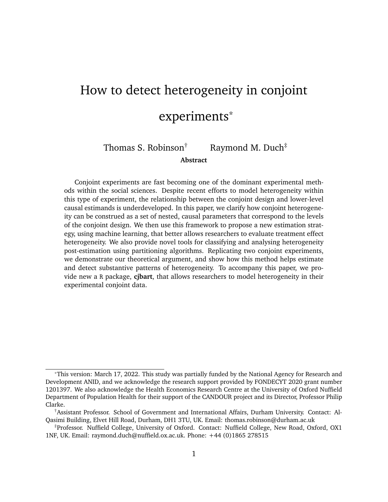over rounds, the effect of 'b2' decreases over rounds, and 'c2' has a constant effect.

The utility for the scenario in which there are no round effects, is calculated more simply as:

$$
U_{ijk}^{\text{No round-effect}} = N(0; 0.001)
$$
  
+ 1 |(A<sub>ijk</sub> = a2)  
+ 0.2 |(B<sub>ijk</sub> = b2)  
+ 0.5 |(C<sub>ijk</sub> = c2):

For each pair of profiles within the experiment, the profile that yields the higher utility gets assigned 1 and the other profile gets assigned 0. We calculate this separately for the round-effect and no round-effect utility calculations, yielding two experimental datasets.

We then estimate the OMCEs for each dataset, as detailed in Section [2,](#page-10-0) *including the round number indicator as a training variable*. This allows BART to flexibly use the round as an effect predictor if it helps refine predictions. In expectation, if there are no carryover or stability issues, then the round indicator variable should be uninformative. We then aggregate the OMCEs to the RMCE level by averaging the estimates within each round, for each hypothetical subject. Finally, we calculate the correlation between the estimated RMCEs and the round-number.

Figure [A2](#page-50-0) plots the distribution of these correlation coefficients by scenario and attribute, across the simulated experiments. For the no round-effects condition, each attribute's distribution is centred on zero as expected – verifying that there is little information to be gleaned from the round indicator. For the round-effects scenario, however, there is a clear positive correlation for attribute A, and conversely a negative correlation for attribute B – clear evidence that the stability and no carryover assumption has been violated. Most interestingly, the relationship between round and attribute appears to have "leached" into the RMCE predictions for attribute C, despite the fact that in this scenario the marginal effect of C is unrelated to the round of the experiment. This clearly demonstrates why en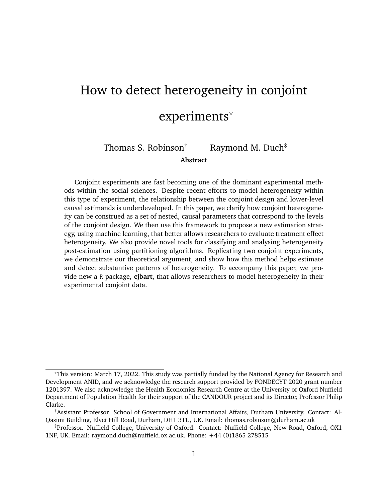suring this assumption holds is so important – it may lead to biased estimates of attributes even if they are individually "well-behaved.

**Figure A2.** Simulation evidence demonstrating how violations of the no carryover assumption can be detected by estimating the RMCE

<span id="page-50-0"></span>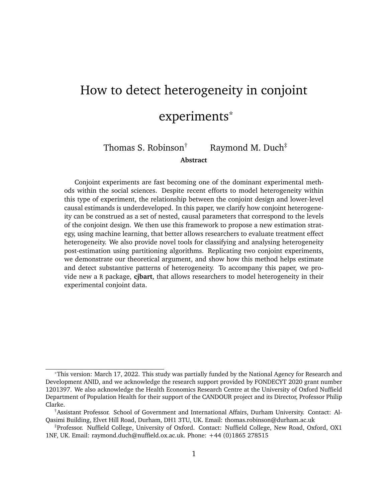# <span id="page-51-0"></span>**C [Hainmueller et al.](#page-35-6) [\(2013\)](#page-35-6) estimation**

[Hainmueller et al.](#page-35-6) [\(2013\)](#page-35-6) conduct a conjoint experiment in which they consider the causal effects of immigrants' attributes on local individuals' attitudes towards these individuals. The study focuses on nine attributes of immigrants – including education, gender, country of origin – where the values of these attributes (the levels) are randomised over two profiles, and subjects pick which of the two immigrants they would prefer to 'give priority to come to the United States to live' (p.6).

To estimate the AMCEs parametrically, we run a linear probability model using the **cregg** package within R [\(Leeper 2020\)](#page-36-9). We estimate the following model:

ChosenImmigrant =  $+$  1Education + 2Gender + 3CountryOfOrigin

- +  $_4$ ReasonForApplication +  $_5$ Job +  $_6$ JobExperience +  $_7$ JobPlans
- + <sup>8</sup>PriorEntry + <sup>9</sup>LanguageSkills;

where  $k$  is the vector of coefficients for the  $l$  1 levels within the kth attribute.

We then supply the same information to a BART model (including the ethnocentrism covariate embedded in the data) and recover the OMCE/IMCE estimates for each subject in the data. To aggregate the parameter estimates to the average marginal component effect, we simply take the average across the IMCEs.<sup>[15](#page-0-0)</sup> We then plot these BART-estimated AMCEs against the parametric AMCEs as shown in Figure [3](#page-19-0) in the main text. In Table [A8](#page-52-0) we present these same AMCE comparisons numerically, which further demonstrates the small divergence between parameter estimates for each attribute-level. Note that the 'Seek Better Job' parameter estimate failed to converge under the LPM specification.

<sup>15</sup>This can be computed automatically within the **cjbart** package by calling summary() on the IMCE object.